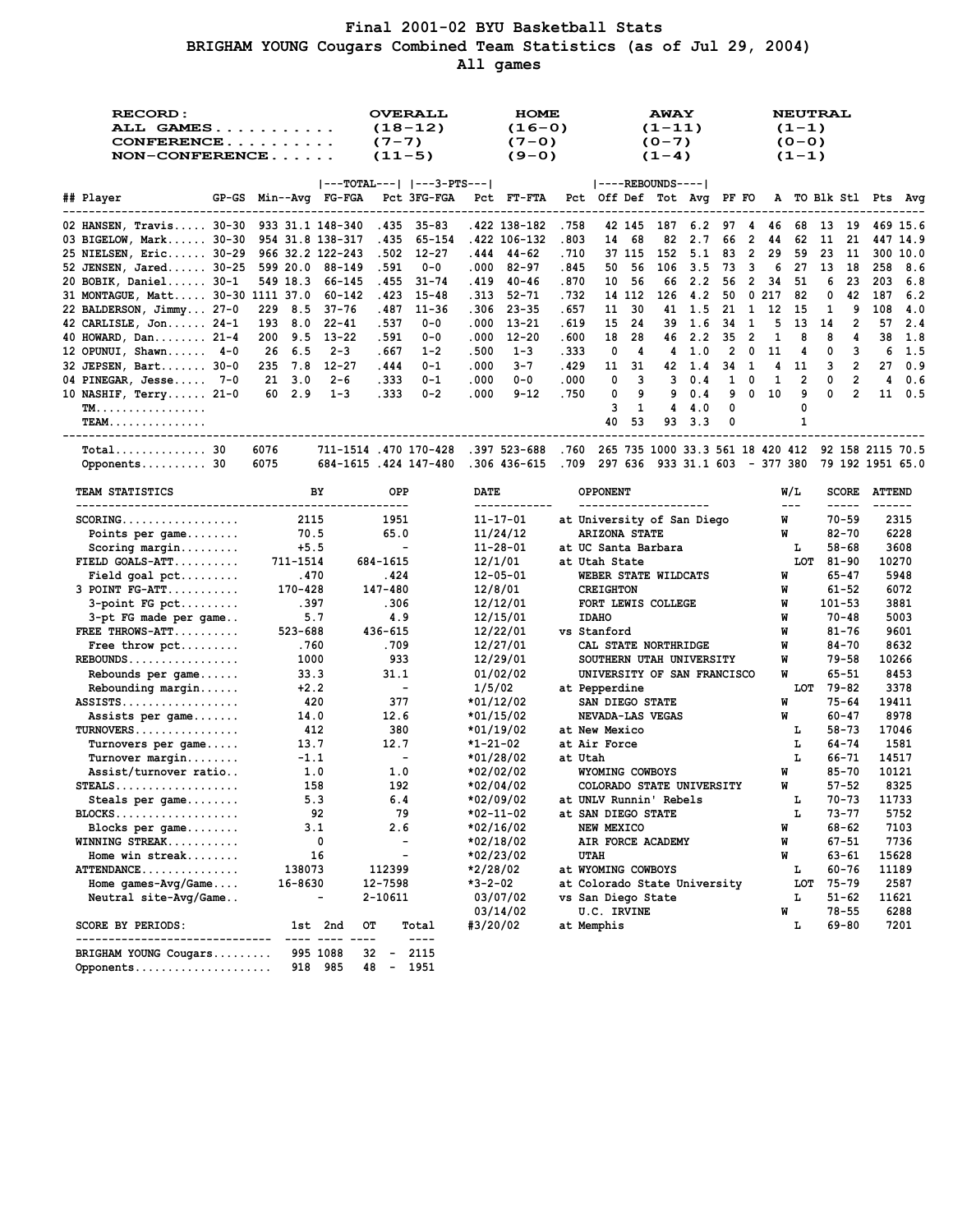## **Final 2001-02 BYU Basketball Stats BRIGHAM YOUNG Cougars Combined Team Statistics (as of Jul 29, 2004) All games**

| <b>RECORD:</b><br>ALL GAMES<br>NON-CONFERENCE         |                      | $(7 - 7)$<br>$(11-5)$    | <b>OVERALL</b><br>$(18-12)$     |                                                                                                                                                                                                                                                                                                                                                                                                       | <b>HOME</b><br>$(16-0)$<br>$(7-0)$<br>$(9-0)$ |                        |                    |                      | <b>AWAY</b><br>$(1 - 11)$<br>$(0-7)$<br>$(1-4)$ |                                                  |              |          |        | <b>NEUTRAL</b><br>$(1 - 1)$<br>$(0 - 0)$<br>$(1 - 1)$ |              |         |                        |                         |                  |
|-------------------------------------------------------|----------------------|--------------------------|---------------------------------|-------------------------------------------------------------------------------------------------------------------------------------------------------------------------------------------------------------------------------------------------------------------------------------------------------------------------------------------------------------------------------------------------------|-----------------------------------------------|------------------------|--------------------|----------------------|-------------------------------------------------|--------------------------------------------------|--------------|----------|--------|-------------------------------------------------------|--------------|---------|------------------------|-------------------------|------------------|
| ## Player<br>GP-GS                                    | Min--Avg FG-FGA      |                          |                                 | $ ---TOTAL--- $ $ ---3-PTS--- $<br>Pct 3FG-FGA                                                                                                                                                                                                                                                                                                                                                        | Pct                                           | FT-FTA                 |                    |                      |                                                 | ----REBOUNDS---- <br>Pct Off Def Tot Avg         |              | PF FO    |        |                                                       |              |         |                        | A TO Blk Stl Pts        | Avq              |
|                                                       |                      |                          |                                 |                                                                                                                                                                                                                                                                                                                                                                                                       |                                               |                        |                    |                      |                                                 |                                                  |              |          |        |                                                       |              |         |                        |                         |                  |
| 02 HANSEN, Travis $30-30$                             | 933 31.1 148-340     |                          | .435                            | $35 - 83$                                                                                                                                                                                                                                                                                                                                                                                             |                                               | .422 138-182           | .758               |                      | 42 145                                          | 187                                              | 6.2          | 97       | 4      | 46                                                    | 68           | 13      | 19                     |                         | 469 15.6         |
| 03 BIGELOW, Mark 30-30                                | 954 31.8 138-317     |                          | . 435                           | 65-154                                                                                                                                                                                                                                                                                                                                                                                                |                                               | .422 106-132           | .803               | 14                   | 68                                              | 82                                               | 2.7          | 66       | 2      | 44                                                    | 62           | 11      | 21                     |                         | 447 14.9         |
| 25 NIELSEN, Eric 30-29                                | 966 32.2 122-243     |                          | .502                            | $12 - 27$                                                                                                                                                                                                                                                                                                                                                                                             | .444                                          | $44 - 62$              | .710               |                      | 37 115                                          | 152                                              | 5.1          | 83       | 2      | 29                                                    | 59           | 23      | 11                     |                         | 300 10.0         |
| 52 JENSEN, Jared 30-25<br>20 BOBIK, Daniel 30-1       | 599 20.0<br>549 18.3 | 88-149<br>66-145         | .591<br>. 455                   | $0 - 0$<br>$31 - 74$                                                                                                                                                                                                                                                                                                                                                                                  | .000<br>. 419                                 | $82 - 97$<br>$40 - 46$ | . 845<br>.870      | 50<br>10             | 56<br>56                                        | 106<br>66                                        | 3.5<br>2.2   | 73<br>56 | 3<br>2 | 6<br>34                                               | 27<br>51     | 13<br>6 | 18<br>23               | 258<br>203              | 8.6<br>6.8       |
| 31 MONTAGUE, Matt 30-30 1111 37.0                     |                      | 60-142                   | . 423                           | $15 - 48$                                                                                                                                                                                                                                                                                                                                                                                             | . 313                                         | $52 - 71$              | . 732              |                      | 14 112                                          | 126                                              | 4.2          | 50       |        | 0.217                                                 | 82           | 0       | 42                     | 187                     | 6.2              |
| 22 BALDERSON, Jimmy 27-0                              | 8.5<br>229           | $37 - 76$                | .487                            | $11 - 36$                                                                                                                                                                                                                                                                                                                                                                                             | .306                                          | $23 - 35$              | . 657              | 11                   | 30                                              | 41                                               | 1.5          | 21       | 1      | 12                                                    | 15           | 1       | 9                      | 108                     | 4.0              |
| 42 CARLISLE, Jon 24-1                                 | 193<br>8.0           | $22 - 41$                | .537                            | $0 - 0$                                                                                                                                                                                                                                                                                                                                                                                               | .000                                          | $13 - 21$              | . 619              | 15                   | 24                                              | 39                                               | 1.6          | 34       | 1      | 5                                                     | 13           | 14      | 2                      | 57                      | 2.4              |
| 40 HOWARD, Dan 21-4                                   | 9.5<br>200           | $13 - 22$                | .591                            | $0 - 0$                                                                                                                                                                                                                                                                                                                                                                                               | .000                                          | $12 - 20$              | .600               | 18                   | 28                                              | 46                                               | 2.2          | 35       | 2      | 1                                                     | 8            | 8       | 4                      | 38                      | 1.8              |
| 12 OPUNUI, Shawn $4-0$                                | 6.5<br>26            | $2 - 3$                  | . 667                           | $1 - 2$                                                                                                                                                                                                                                                                                                                                                                                               | .500                                          | $1 - 3$                | . 333              | 0                    | 4                                               | 4                                                | 1.0          | 2        | 0      | 11                                                    | 4            | 0       | з                      | 6                       | 1.5              |
| 32 JEPSEN, Bart 30-0                                  | 7.8<br>235           | $12 - 27$                | .444                            | $0 - 1$                                                                                                                                                                                                                                                                                                                                                                                               | .000                                          | $3 - 7$                | .429               | 11                   | 31                                              | 42                                               | 1.4          | 34       | 1      | 4                                                     | 11           | 3       | 2                      | 27                      | 0.9              |
| 04 PINEGAR, Jesse 7-0                                 | 3.0<br>21            | $2 - 6$                  | . 333                           | $0 - 1$                                                                                                                                                                                                                                                                                                                                                                                               | .000                                          | $0 - 0$                | .000               | 0                    | 3                                               | 3                                                | 0.4          | 1        | 0      | 1                                                     | 2            | 0       | 2                      | 4                       | 0.6              |
| 10 NASHIF, Terry $21-0$                               | 2.9<br>60            | $1 - 3$                  | .333                            | $0 - 2$                                                                                                                                                                                                                                                                                                                                                                                               | .000                                          | $9 - 12$               | .750               | 0                    | 9                                               | 9                                                | 0.4          | 9        | 0      | 10                                                    | 9            | 0       | 2                      | 11                      | 0.5              |
| <b>TM.</b>                                            |                      |                          |                                 |                                                                                                                                                                                                                                                                                                                                                                                                       |                                               |                        |                    | 3                    | 1                                               | 4                                                | 4.0          | 0        |        |                                                       | 0            |         |                        |                         |                  |
| <b>TEAM</b>                                           |                      |                          |                                 |                                                                                                                                                                                                                                                                                                                                                                                                       |                                               |                        |                    | 40                   | 53                                              | 93                                               | 3.3          | 0        |        |                                                       | 1            |         |                        |                         |                  |
| $Total$ 30                                            | 6076                 | 711-1514 .470 170-428    |                                 |                                                                                                                                                                                                                                                                                                                                                                                                       |                                               | .397 523-688           | .760               |                      |                                                 | 265 735 1000 33.3 561 18 420 412                 |              |          |        |                                                       |              |         |                        | 92 158 2115 70.5        |                  |
| Opponents 30                                          | 6075                 | 684-1615.424 147-480     |                                 |                                                                                                                                                                                                                                                                                                                                                                                                       |                                               | .306 436-615           | .709               |                      | 297 636                                         |                                                  | 933 31.1 603 |          |        | - 377 380                                             |              |         |                        |                         | 79 192 1951 65.0 |
|                                                       |                      |                          |                                 |                                                                                                                                                                                                                                                                                                                                                                                                       |                                               |                        |                    |                      |                                                 |                                                  |              |          |        |                                                       |              |         |                        |                         |                  |
| TEAM STATISTICS<br>---------------------------------- |                      | BY                       | OPP                             |                                                                                                                                                                                                                                                                                                                                                                                                       | DATE                                          | ------------           |                    | <b>OPPONENT</b>      |                                                 | ---------------------                            |              |          |        |                                                       | W/L<br>$---$ |         | <b>SCORE</b><br>-----  | <b>ATTEND</b><br>------ |                  |
| $SCORING.$                                            | 2115                 |                          | 1951                            |                                                                                                                                                                                                                                                                                                                                                                                                       |                                               | $11 - 17 - 01$         |                    |                      |                                                 | at University of San Diego                       |              |          |        |                                                       | W            |         | $70 - 59$              |                         | 2315             |
| Points per game                                       | 70.5                 |                          | 65.0                            |                                                                                                                                                                                                                                                                                                                                                                                                       |                                               | 11/24/12               |                    | <b>ARIZONA STATE</b> |                                                 |                                                  |              |          |        |                                                       | W            |         | $82 - 70$              |                         | 6228             |
| $Scoring margin$                                      | $+5.5$               |                          |                                 |                                                                                                                                                                                                                                                                                                                                                                                                       |                                               | $11 - 28 - 01$         |                    |                      |                                                 | at UC Santa Barbara                              |              |          |        |                                                       | г            |         | 58-68                  |                         | 3608             |
| $FIELD GOALS-ATT$                                     | 711-1514             |                          | 684-1615                        |                                                                                                                                                                                                                                                                                                                                                                                                       |                                               | 12/1/01                | at Utah State      |                      |                                                 |                                                  |              |          |        |                                                       | LOT          |         | $81 - 90$              |                         | 10270            |
| Field goal $pet$                                      | .470                 |                          | . 424                           |                                                                                                                                                                                                                                                                                                                                                                                                       |                                               | $12 - 05 - 01$         |                    |                      |                                                 | WEBER STATE WILDCATS                             |              |          |        | W                                                     |              |         | $65 - 47$              |                         | 5948             |
| $3$ POINT $FG-ATT$                                    | 170-428              |                          | 147-480                         |                                                                                                                                                                                                                                                                                                                                                                                                       | 12/8/01                                       |                        |                    | <b>CREIGHTON</b>     |                                                 |                                                  |              |          |        | W                                                     |              |         | 61-52                  |                         | 6072             |
| $3$ -point FG pct                                     | . 397                |                          | .306                            |                                                                                                                                                                                                                                                                                                                                                                                                       |                                               | 12/12/01               |                    |                      |                                                 | FORT LEWIS COLLEGE                               |              |          |        | W                                                     |              |         | $101 - 53$             |                         | 3881             |
| 3-pt FG made per game                                 | 5.7                  |                          | 4.9                             |                                                                                                                                                                                                                                                                                                                                                                                                       |                                               | 12/15/01               |                    | <b>IDAHO</b>         |                                                 |                                                  |              |          |        | W                                                     |              |         | $70 - 48$              |                         | 5003             |
| FREE THROWS-ATT                                       | 523-688              |                          | 436-615                         |                                                                                                                                                                                                                                                                                                                                                                                                       |                                               | 12/22/01               | vs Stanford        |                      |                                                 |                                                  |              |          |        | W                                                     |              |         | $81 - 76$              |                         | 9601             |
| Free throw $\not\vdots$<br>$REBOUNDS$                 | .760<br>1000         |                          | .709<br>933                     |                                                                                                                                                                                                                                                                                                                                                                                                       |                                               | 12/27/01<br>12/29/01   |                    |                      |                                                 | CAL STATE NORTHRIDGE<br>SOUTHERN UTAH UNIVERSITY |              |          |        | W<br>W                                                |              |         | $84 - 70$<br>79-58     |                         | 8632<br>10266    |
| Rebounds per game                                     | 33.3                 |                          | 31.1                            |                                                                                                                                                                                                                                                                                                                                                                                                       |                                               | 01/02/02               |                    |                      |                                                 | UNIVERSITY OF SAN FRANCISCO                      |              |          |        |                                                       | W            |         | $65 - 51$              |                         | 8453             |
| $Rebounding margin$                                   | $+2.2$               |                          | $\overline{\phantom{a}}$        |                                                                                                                                                                                                                                                                                                                                                                                                       | 1/5/02                                        |                        | at Pepperdine      |                      |                                                 |                                                  |              |          |        |                                                       | LOT          |         | 79-82                  |                         | 3378             |
| $ASSISTS$                                             | 420                  |                          | 377                             |                                                                                                                                                                                                                                                                                                                                                                                                       | *01/12/02                                     |                        |                    | SAN DIEGO STATE      |                                                 |                                                  |              |          |        | W                                                     |              |         | $75 - 64$              |                         | 19411            |
| Assists per game                                      | 14.0                 |                          | 12.6                            |                                                                                                                                                                                                                                                                                                                                                                                                       | *01/15/02                                     |                        |                    |                      |                                                 | NEVADA-LAS VEGAS                                 |              |          |        | W                                                     |              |         | $60 - 47$              |                         | 8978             |
| $TURNOVERS$                                           | 412                  |                          | 380                             |                                                                                                                                                                                                                                                                                                                                                                                                       | *01/19/02                                     |                        | at New Mexico      |                      |                                                 |                                                  |              |          |        |                                                       | L            |         | $58 - 73$              |                         | 17046            |
| Turnovers per game                                    | 13.7                 |                          | 12.7                            |                                                                                                                                                                                                                                                                                                                                                                                                       | $*1 - 21 - 02$                                |                        | at Air Force       |                      |                                                 |                                                  |              |          |        |                                                       | L            |         | 64-74                  |                         | 1581             |
| $Turnover$ margin                                     | $-1.1$               |                          | $\overline{\phantom{a}}$        |                                                                                                                                                                                                                                                                                                                                                                                                       | *01/28/02                                     |                        | at Utah            |                      |                                                 |                                                  |              |          |        |                                                       | L            |         | $66 - 71$              |                         | 14517            |
| Assist/turnover ratio                                 | 1.0                  |                          | 1.0                             |                                                                                                                                                                                                                                                                                                                                                                                                       | *02/02/02                                     |                        |                    | WYOMING COWBOYS      |                                                 |                                                  |              |          |        | W                                                     |              |         | $85 - 70$              |                         | 10121            |
| $STEALS$                                              | 158                  |                          | 192                             |                                                                                                                                                                                                                                                                                                                                                                                                       | *02/04/02                                     |                        |                    |                      |                                                 | COLORADO STATE UNIVERSITY                        |              |          |        |                                                       | W            |         | $57 - 52$              |                         | 8325             |
| Steals per game                                       | 5.3                  |                          | 6.4                             |                                                                                                                                                                                                                                                                                                                                                                                                       |                                               | *02/09/02              |                    |                      |                                                 | at UNLV Runnin' Rebels                           |              |          |        |                                                       | ь            |         | $70 - 73$              |                         | 11733            |
| $BLOCKS$                                              |                      | 92                       | 79                              |                                                                                                                                                                                                                                                                                                                                                                                                       | *02-11-02                                     |                        | at SAN DIEGO STATE |                      |                                                 |                                                  |              |          |        |                                                       | г            |         | 73-77                  |                         | 5752             |
| Blocks per $game$                                     | 3.1                  |                          | 2.6<br>$\overline{\phantom{a}}$ |                                                                                                                                                                                                                                                                                                                                                                                                       | *02/16/02                                     |                        |                    | NEW MEXICO           |                                                 |                                                  |              |          |        |                                                       | W            |         | 68-62                  |                         | 7103             |
| WINNING STREAK<br>Home win streak                     |                      | 0<br>16                  | $\overline{\phantom{a}}$        |                                                                                                                                                                                                                                                                                                                                                                                                       | *02/18/02                                     |                        |                    |                      |                                                 | AIR FORCE ACADEMY                                |              |          |        |                                                       | M<br>W       |         | $67 - 51$<br>$63 - 61$ |                         | 7736             |
| ATTENDANCE                                            | 138073               |                          | 112399                          |                                                                                                                                                                                                                                                                                                                                                                                                       | *02/23/02<br>*2/28/02                         |                        | at WYOMING COWBOYS | UTAH                 |                                                 |                                                  |              |          |        |                                                       | т.           |         | $60 - 76$              |                         | 15628<br>11189   |
| Home $qames-Pvq/Game$                                 | 16-8630              |                          | 12-7598                         |                                                                                                                                                                                                                                                                                                                                                                                                       | *3-2-02                                       |                        |                    |                      |                                                 | at Colorado State University                     |              |          |        |                                                       | LOT          |         | 75-79                  |                         | 2587             |
| Neutral site-Avg/Game                                 |                      | $\overline{\phantom{0}}$ | 2-10611                         |                                                                                                                                                                                                                                                                                                                                                                                                       |                                               | 03/07/02               | vs San Diego State |                      |                                                 |                                                  |              |          |        |                                                       | г            |         | $51 - 62$              |                         | 11621            |
|                                                       |                      |                          |                                 |                                                                                                                                                                                                                                                                                                                                                                                                       |                                               | 03/14/02               |                    | <b>U.C. IRVINE</b>   |                                                 |                                                  |              |          |        |                                                       | W            |         | $78 - 55$              |                         | 6288             |
| SCORE BY PERIODS:<br>----------                       |                      | 1st 2nd<br>---           | OТ                              | Total<br>$\frac{1}{2} \frac{1}{2} \frac{1}{2} \frac{1}{2} \frac{1}{2} \frac{1}{2} \frac{1}{2} \frac{1}{2} \frac{1}{2} \frac{1}{2} \frac{1}{2} \frac{1}{2} \frac{1}{2} \frac{1}{2} \frac{1}{2} \frac{1}{2} \frac{1}{2} \frac{1}{2} \frac{1}{2} \frac{1}{2} \frac{1}{2} \frac{1}{2} \frac{1}{2} \frac{1}{2} \frac{1}{2} \frac{1}{2} \frac{1}{2} \frac{1}{2} \frac{1}{2} \frac{1}{2} \frac{1}{2} \frac{$ | #3/20/02                                      |                        | at Memphis         |                      |                                                 |                                                  |              |          |        |                                                       | г            |         | $69 - 80$              |                         | 7201             |
| BRIGHAM YOUNG Cougars<br>Opponents                    |                      | 995 1088<br>918 985      | 32<br>$\sim$ $-$<br>48 –        | 2115<br>1951                                                                                                                                                                                                                                                                                                                                                                                          |                                               |                        |                    |                      |                                                 |                                                  |              |          |        |                                                       |              |         |                        |                         |                  |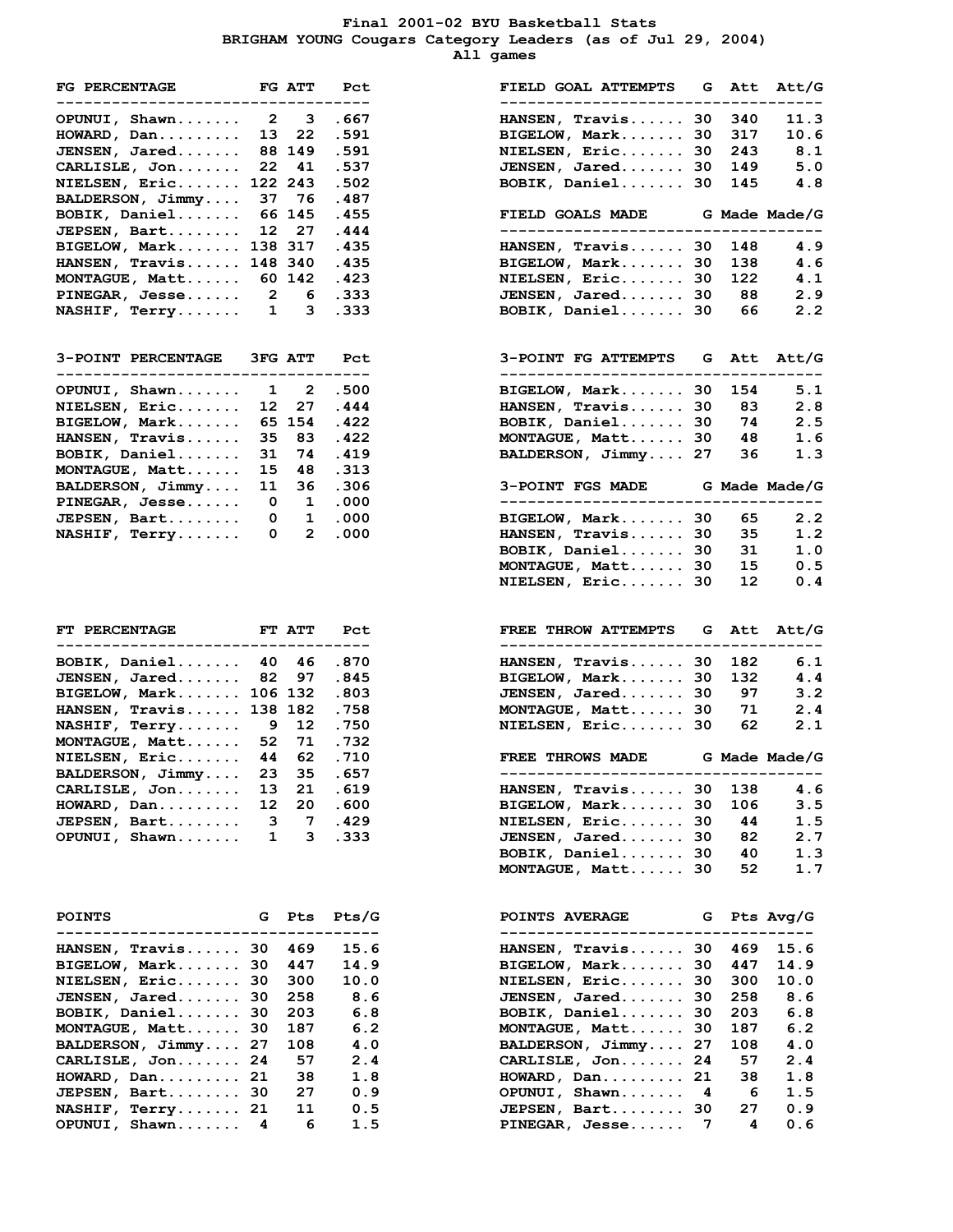### **Final 2001-02 BYU Basketball Stats BRIGHAM YOUNG Cougars Category Leaders (as of Jul 29, 2004) All games**

| <b>FG PERCENTAGE</b><br>------------------------------ |              |                                                | FG ATT Pct<br>-----  |
|--------------------------------------------------------|--------------|------------------------------------------------|----------------------|
| OPUNUI, Shawn 2 3 .667                                 |              |                                                |                      |
| $HOWARD$ , $Dan \ldots \ldots$ .                       |              | $13 \quad 22$                                  | .591                 |
| JENSEN, Jared                                          |              | 88 149                                         | .591                 |
| CARLISLE, Jon                                          |              | 22 41                                          | .537                 |
| NIELSEN, Eric 122 243                                  |              |                                                | .502                 |
| BALDERSON, Jimmy                                       |              | 37 76                                          | .487                 |
| BOBIK, Daniel                                          |              | 66 145                                         | .455                 |
| JEPSEN, Bart                                           |              | 12 27                                          | .444                 |
| BIGELOW, Mark                                          |              | 138 317                                        | .435                 |
| HANSEN, Travis 148 340                                 |              |                                                | .435                 |
| MONTAGUE, Matt 60 142                                  |              |                                                | .423                 |
|                                                        |              |                                                | .333                 |
| PINEGAR, Jesse 2 6<br>NASHIF, Terry 1 3                |              |                                                | .333                 |
|                                                        |              |                                                |                      |
| 3-POINT PERCENTAGE 3FG ATT Pct<br>--------------       |              |                                                | ----                 |
| OPUNUI, Shawn                                          | $\mathbf{1}$ | $\overline{\mathbf{2}}$                        | .500                 |
| NIELSEN, Eric                                          | 12           | 27                                             | .444                 |
| BIGELOW, Mark                                          |              | 65 154                                         | .422                 |
| HANSEN, Travis                                         |              | 35 83                                          | .422                 |
| BOBIK, Daniel                                          |              | $31 \t 74$                                     | .419                 |
| MONTAGUE, Matt                                         |              | 15 48                                          | .313                 |
| BALDERSON, Jimmy                                       |              |                                                | .306                 |
| $PINEGAR, Jesse$ .                                     |              | $\begin{matrix} 11 & 36 \\ 0 & 1 \end{matrix}$ | .000                 |
| JEPSEN, Bart                                           |              |                                                | $0\quad 1\quad .000$ |
| NASHIF, $Terry$ 0 2                                    |              |                                                | .000                 |
|                                                        |              |                                                |                      |
| FT PERCENTAGE FT ATT Pct                               |              |                                                |                      |
| BOBIK, Daniel 40 46 .870                               |              |                                                |                      |
|                                                        |              |                                                | .845                 |
| <b>JENSEN, Jared 82 97</b><br>BIGELOW, Mark 106 132    |              |                                                | .803                 |
| HANSEN, Travis 138 182                                 |              |                                                | .758                 |
|                                                        |              |                                                | .750                 |
| NASHIF, Terry 9 12<br>MONTAGUE, Matt 52 71             |              |                                                | .732                 |
| NIELSEN, Eric 44 62 .710                               |              |                                                |                      |
| BALDERSON, Jimmy                                       |              | 23 35                                          | .657                 |
| $C\Delta D T T C T F$ $T \circ n$                      | 12           |                                                | $21 \quad 619$       |

| <b>POINTS</b>               | G Pts | Pts/G | <b>POINTS AVERAGE</b><br>____________________________ | G Pts Avg/G |      |
|-----------------------------|-------|-------|-------------------------------------------------------|-------------|------|
| HANSEN, Travis 30 469       |       | 15.6  | HANSEN, Travis 30 469                                 |             | 15.6 |
| BIGELOW, Mark 30 447        |       | 14.9  | BIGELOW, Mark 30 447                                  |             | 14.9 |
| NIELSEN, Eric 30            | -300  | 10.0  | NIELSEN, $Eric$ 30 300                                |             | 10.0 |
| <b>JENSEN, Jared 30 258</b> |       | 8.6   | JENSEN, Jared 30                                      | 258         | 8.6  |
| BOBIK, Daniel 30            | -203  | 6.8   | BOBIK, Daniel 30                                      | 203         | 6.8  |
| MONTAGUE, Matt 30           | 187   | 6.2   | MONTAGUE, Matt 30                                     | 187         | 6.2  |
| BALDERSON, Jimmy 27         | 108   | 4.0   | BALDERSON, Jimmy 27                                   | 108         | 4.0  |
| CARLISLE, Jon 24            | 57    | 2.4   | CARLISLE, Jon 24                                      | 57          | 2.4  |
| $HOWARD$ , $Dan$ 21         | 38    | 1.8   | $HOWARD$ , $Dan$ 21                                   | 38          | 1.8  |
| JEPSEN, Bart 30             | 27    | 0.9   | OPUNUI, Shawn 4                                       | -6          | 1.5  |
| $NASHIF$ , $Terry$ 21       | 11    | 0.5   | JEPSEN, Bart 30                                       | 27          | 0.9  |
| OPUNUI, Shawn 4             | 6     | 1.5   | PINEGAR, Jesse 7                                      | 4           | 0.6  |

| FG PERCENTAGE FG ATT                                                    |              |                              | Pct            | FIELD GOAL ATTEMPTS G Att Att/G                                         |           |
|-------------------------------------------------------------------------|--------------|------------------------------|----------------|-------------------------------------------------------------------------|-----------|
| ------------<br>OPUNUI, Shawn                                           |              | $2 \quad 3$                  | ------<br>.667 | $HANSEN, Travis$ 30<br>340                                              | 11.3      |
| HOWARD, Dan                                                             | 13           | 22                           | .591           | BIGELOW, Mark 30<br>317                                                 | 10.6      |
|                                                                         |              | 88 149                       | .591           | NIELSEN, Eric 30<br>243                                                 | 8.1       |
| JENSEN, Jared                                                           |              |                              |                |                                                                         |           |
| CARLISLE, Jon                                                           |              | 22 41                        | .537           | JENSEN, Jared 30<br>149                                                 | 5.0       |
| <b>NIELSEN, Eric 122 243</b>                                            |              |                              | .502           | BOBIK, Daniel 30<br>145                                                 | 4.8       |
| BALDERSON, Jimmy                                                        |              | 37 76                        | .487           |                                                                         |           |
| BOBIK, Daniel                                                           |              | 66 145                       | .455           | FIELD GOALS MADE G Made Made/G                                          |           |
| JEPSEN, Bart                                                            | 12           | 27                           | .444           | ---------------------------------                                       |           |
| BIGELOW, Mark 138 317                                                   |              |                              | .435           | $HANSEN, Travis$ 30<br>148                                              | 4.9       |
| HANSEN, Travis 148 340                                                  |              |                              | .435           | BIGELOW, Mark 30<br>138                                                 | 4.6       |
| MONTAGUE, Matt 60 142                                                   |              |                              | .423           | NIELSEN, Eric 30<br>122                                                 | 4.1       |
|                                                                         |              |                              |                |                                                                         |           |
| $\verb PINEGAR , Jesse 2$                                               |              | 6                            | . 333          | JENSEN, Jared 30<br>88                                                  | 2.9       |
| $NASHIF$ , Terry $1$                                                    |              | 3                            | .333           | BOBIK, Daniel 30<br>66                                                  | 2.2       |
| <b>3-POINT PERCENTAGE 3FG ATT</b><br>---------------------------------- |              |                              | Pct            | 3-POINT FG ATTEMPTS G Att Att/G<br>------------------------------------ |           |
|                                                                         |              |                              |                |                                                                         |           |
| OPUNUI, Shawn                                                           |              | 1 2                          | .500           | BIGELOW, Mark 30<br>154                                                 | 5.1       |
| NIELSEN, Eric                                                           | 12           | 27                           | .444           | HANSEN, Travis 30<br>83                                                 | 2.8       |
| BIGELOW, Mark                                                           |              | 65 154                       | .422           | BOBIK, Daniel 30<br>74                                                  | 2.5       |
| HANSEN, Travis                                                          | 35           | - 83                         | .422           | MONTAGUE, Matt 30<br>48                                                 | 1.6       |
| BOBIK, Daniel                                                           | 31           | 74                           | .419           | BALDERSON, Jimmy 27<br>36                                               | 1.3       |
| MONTAGUE, Matt                                                          | 15           | 48                           | .313           |                                                                         |           |
| BALDERSON, Jimmy                                                        | 11           | 36                           | .306           | 3-POINT FGS MADE G Made Made/G                                          |           |
| $\verb!PINEGAR!/ \;\; Jesse.$                                           | $\mathbf{0}$ |                              | 1.000          | _____________________________________                                   |           |
|                                                                         |              |                              |                |                                                                         |           |
| <b>JEPSEN, Bart</b>                                                     | $\mathbf{0}$ | $\mathbf{1}$                 | .000           | 65<br>BIGELOW, Mark 30                                                  | 2.2       |
| <b>NASHIF, Terry</b>                                                    |              | $\mathbf{0}$<br>$\mathbf{2}$ | .000           | HANSEN, Travis 30<br>35                                                 | 1.2       |
|                                                                         |              |                              |                | BOBIK, Daniel 30<br>31                                                  | 1.0       |
|                                                                         |              |                              |                | 15<br>MONTAGUE, Matt 30                                                 | 0.5       |
|                                                                         |              |                              |                | NIELSEN, Eric 30<br>12                                                  | 0.4       |
|                                                                         |              |                              |                |                                                                         |           |
| FT PERCENTAGE FT ATT<br>------------                                    |              |                              | Pct<br>-----   | <b>FREE THROW ATTEMPTS</b><br>G Att Att/G<br>--------------             |           |
| BOBIK, Daniel                                                           | 40           | 46                           | .870           | HANSEN, Travis 30<br>182                                                | 6.1       |
| JENSEN, Jared 82                                                        |              | 97                           | .845           | BIGELOW, Mark 30<br>132                                                 | 4.4       |
|                                                                         |              |                              |                |                                                                         |           |
| BIGELOW, Mark 106 132                                                   |              |                              | .803           | JENSEN, Jared 30<br>97                                                  | 3.2       |
| <b>HANSEN, Travis 138 182</b>                                           |              |                              | .758           | MONTAGUE, Matt 30<br>71                                                 | 2.4       |
| <b>NASHIF, Terry 9</b>                                                  |              | 12                           | .750           | 62<br>NIELSEN, Eric 30                                                  | 2.1       |
| MONTAGUE, Matt 52 71                                                    |              |                              | .732           |                                                                         |           |
| <b>NIELSEN, Eric</b>                                                    | 44           | 62                           | .710           | <b>FREE THROWS MADE</b><br>G Made Made/G                                |           |
| BALDERSON, Jimmy                                                        |              | 23 35                        | .657           |                                                                         |           |
| $CARLISLE$ , $Jon$                                                      | 13           | 21                           | .619           | 138<br>$HANSEN, Travis$ 30                                              | 4.6       |
| HOWARD, Dan                                                             | 12           | 20                           | .600           | BIGELOW, Mark 30                                                        | 3.5       |
|                                                                         |              |                              |                | 106                                                                     |           |
| <b>JEPSEN, Bart</b>                                                     | 3            | 7                            | .429           | NIELSEN, Eric 30<br>44                                                  | 1.5       |
| OPUNUI, Shawn                                                           | 1            | 3                            | .333           | JENSEN, Jared 30<br>82                                                  | 2.7       |
|                                                                         |              |                              |                | BOBIK, Daniel 30<br>40                                                  | 1.3       |
|                                                                         |              |                              |                | MONTAGUE, Matt 30<br>52                                                 | 1.7       |
|                                                                         |              |                              |                |                                                                         |           |
| <b>POINTS</b>                                                           | G            | <b>Pts</b>                   | $P$ ts/G       | <b>POINTS AVERAGE</b><br>G                                              | Pts Avg/G |
| <b>HANSEN, Travis 30</b>                                                |              | 469                          | 15.6           | HANSEN, Travis 30<br>469                                                | 15.6      |
| BIGELOW, Mark 30                                                        |              | 447                          | 14.9           | $BIGELOW, Mark$<br>447<br>30                                            | 14.9      |
| NIELSEN, Eric 30                                                        |              | 300                          | 10.0           | NIELSEN, Eric 30<br>300                                                 | 10.0      |
| <b>JENSEN, Jared 30</b>                                                 |              | 258                          | 8.6            | JENSEN, Jared 30<br>258                                                 | 8.6       |
| BOBIK, Daniel                                                           | 30           | 203                          | 6.8            | BOBIK, Daniel 30<br>203                                                 | 6.8       |
|                                                                         |              |                              |                |                                                                         |           |
| MONTAGUE, Matt 30                                                       |              | 187                          | 6.2            | MONTAGUE, Matt 30<br>187                                                | 6.2       |
| BALDERSON, Jimmy 27                                                     |              | 108                          | 4.0            | BALDERSON, Jimmy 27<br>108                                              | 4.0       |
| CARLISLE, Jon 24                                                        |              | 57                           | 2.4            | CARLISLE, Jon 24<br>57                                                  | 2.4       |
| HOWARD, Dan 21                                                          |              | 38                           | 1.8            | $HOWARD$ , $Dan$ 21<br>38                                               | 1.8       |
| JEPSEN, Bart 30                                                         |              | 27                           | 0.9            | OPUNUI, Shawn<br>4<br>- 6                                               | 1.5       |
| <b>NASHIF, Terry 21</b>                                                 |              | 11                           | 0.5            | JEPSEN, Bart 30<br>27                                                   | 0.9       |
| OPUNUI, Shawn                                                           |              |                              |                | PINEGAR, Jesse<br>4<br>7                                                |           |
|                                                                         | 4            | 6                            | 1.5            |                                                                         | 0.6       |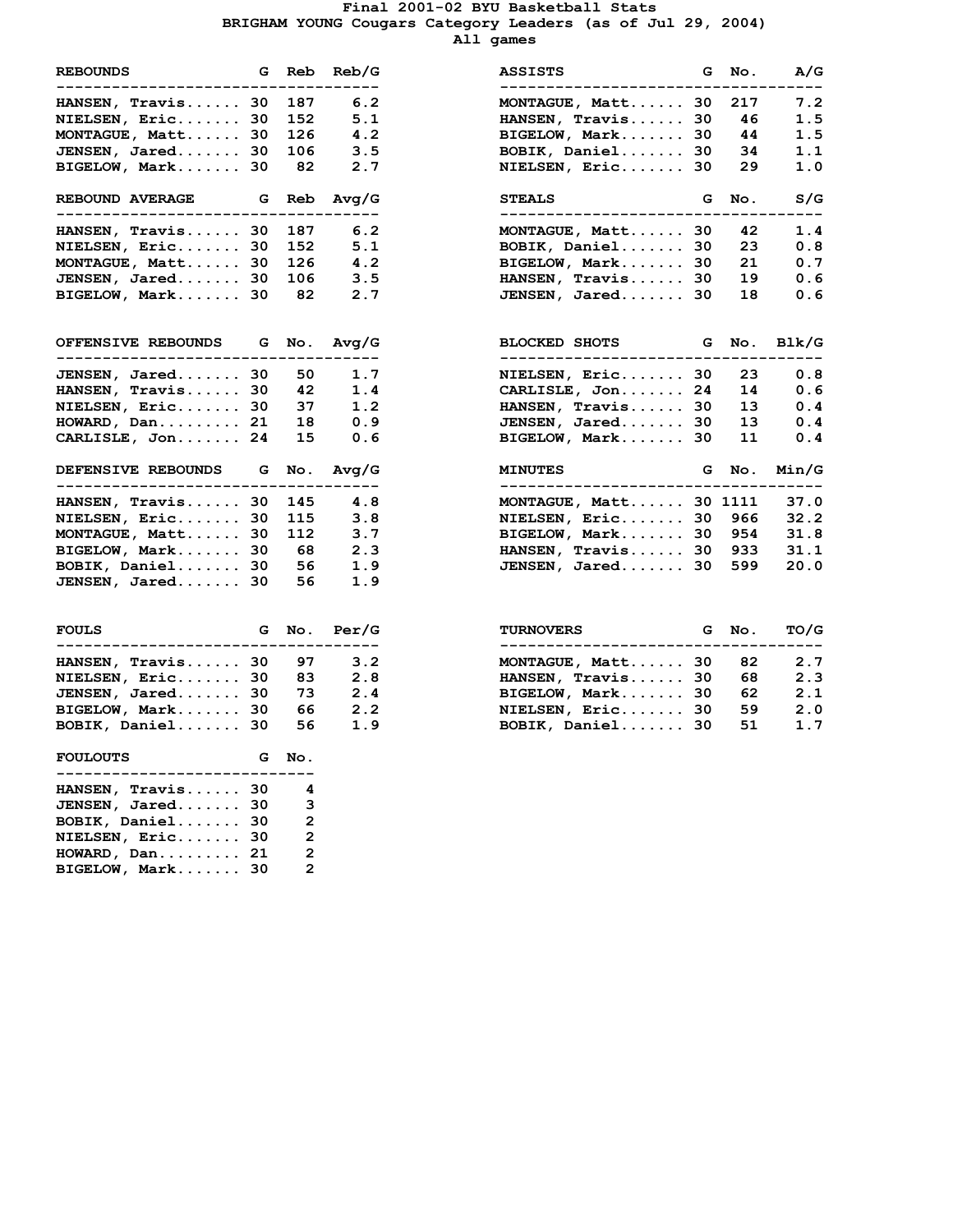### **Final 2001-02 BYU Basketball Stats BRIGHAM YOUNG Cougars Category Leaders (as of Jul 29, 2004) All games**

| <b>REBOUNDS</b><br>--------------------                                |       |                                  | G Reb Reb/G<br>. - - - - - - |
|------------------------------------------------------------------------|-------|----------------------------------|------------------------------|
| HANSEN, Travis                                                         | 30    | 187                              | 6.2                          |
| NIELSEN, Eric                                                          | 30    | 152                              | 5.1                          |
| MONTAGUE, Matt                                                         | 30    | 126<br>106                       | 4.2                          |
| JENSEN, Jared 30                                                       |       |                                  | 3.5                          |
| BIGELOW, Mark 30                                                       |       | 82                               | 2.7                          |
| <b>REBOUND AVERAGE</b><br>_____________________                        | G     |                                  | Reb Avg/G<br>.______________ |
| HANSEN, Travis                                                         | 30    | 187                              | 6.2                          |
| NIELSEN, Eric                                                          | 30    | 152                              | 5.1                          |
| MONTAGUE, Matt                                                         | 30    | 126                              | 4.2                          |
| JENSEN, Jared. 30                                                      |       | 106                              | 3.5                          |
| BIGELOW, Mark 30                                                       |       | 82                               | 2.7                          |
| OFFENSIVE REBOUNDS G No. Avg/G                                         |       |                                  |                              |
| -----------------------------------<br>JENSEN, Jared                   |       |                                  | 30 50 1.7                    |
|                                                                        |       |                                  | 1.4                          |
| HANSEN, Travis 30 42<br>NIELSEN, Eric 30 37                            |       |                                  | 1.2                          |
|                                                                        |       |                                  |                              |
| HOWARD, Dan 21 18 0.9<br>CARLISLE, Jon 24 15 0.6                       |       |                                  |                              |
| DEFENSIVE REBOUNDS G No. Avg/G<br>------------------------------------ |       |                                  |                              |
| HANSEN, Travis                                                         |       |                                  | 30 145 4.8                   |
| NIELSEN, Eric                                                          | 30    | 115                              | 3.8                          |
| MONTAGUE, Matt                                                         |       | 30 112                           | 3.7                          |
| BIGELOW, Mark 30                                                       |       | 68                               | 2.3                          |
| BOBIK, Daniel 30                                                       |       | 56                               | 1.9                          |
| JENSEN, Jared                                                          | 30    | 56                               | 1.9                          |
| <b>FOULS</b>                                                           |       |                                  | G No. Per/G                  |
| ---------------------                                                  | $- -$ | ---                              | ------                       |
| HANSEN, Travis                                                         | 30    | 97                               | 3.2                          |
| NIELSEN, Eric                                                          | 30    | 83                               | 2.8                          |
| $JENSEN$ , $Jared$ 30                                                  |       | 73                               | 2.4                          |
| BIGELOW, Mark 30                                                       |       | 66                               | 2.2                          |
| BOBIK, Daniel 30 56                                                    |       |                                  | 1.9                          |
| <b>FOULOUTS</b><br>----------------------------                        |       | G No.                            |                              |
| HANSEN, Travis 30                                                      |       | $\overline{\mathbf{4}}$          |                              |
|                                                                        |       |                                  |                              |
|                                                                        |       |                                  |                              |
| JENSEN, Jared                                                          | 30    | 3                                |                              |
| BOBIK, Daniel 30                                                       |       | $\overline{2}$                   |                              |
| NIELSEN, Eric 30<br>HOWARD, Dan                                        | 21    | $\overline{2}$<br>$\overline{2}$ |                              |

**BIGELOW, Mark....... 30 2**

| <b>REBOUNDS</b><br>G.<br>Reb/G<br>Reb<br>ASSISTS<br>------------------------<br>------------------------<br>6.2<br><b>HANSEN, Travis 30</b><br>187<br>MONTAGUE, Matt 30<br>5.1<br><b>NIELSEN, Eric 30</b><br>152<br>HANSEN, Travis 30<br>126<br>4.2<br>MONTAGUE, Matt 30<br>BIGELOW, Mark 30<br>JENSEN, Jared 30<br>3.5<br>BOBIK, Daniel 30<br>106<br>BIGELOW, Mark 30<br>82<br>2.7<br>NIELSEN, Eric 30 | G  |
|---------------------------------------------------------------------------------------------------------------------------------------------------------------------------------------------------------------------------------------------------------------------------------------------------------------------------------------------------------------------------------------------------------|----|
|                                                                                                                                                                                                                                                                                                                                                                                                         |    |
|                                                                                                                                                                                                                                                                                                                                                                                                         |    |
|                                                                                                                                                                                                                                                                                                                                                                                                         |    |
|                                                                                                                                                                                                                                                                                                                                                                                                         |    |
|                                                                                                                                                                                                                                                                                                                                                                                                         |    |
|                                                                                                                                                                                                                                                                                                                                                                                                         |    |
| <b>REBOUND AVERAGE</b><br>Avq/G<br><b>STEALS</b><br>G Reb                                                                                                                                                                                                                                                                                                                                               | G  |
| 6.2<br><b>HANSEN, Travis 30</b><br>187<br>MONTAGUE, Matt 30                                                                                                                                                                                                                                                                                                                                             |    |
| 5.1<br>NIELSEN, Eric 30<br>BOBIK, Daniel 30<br>152                                                                                                                                                                                                                                                                                                                                                      |    |
| 4.2<br>BIGELOW, Mark 30<br>MONTAGUE, Matt 30<br>126                                                                                                                                                                                                                                                                                                                                                     |    |
| JENSEN, Jared 30<br>3.5<br>HANSEN, Travis 30<br>106                                                                                                                                                                                                                                                                                                                                                     |    |
| BIGELOW, Mark 30<br>2.7<br>JENSEN, Jared 30<br>82                                                                                                                                                                                                                                                                                                                                                       |    |
| Avq/G<br><b>OFFENSIVE REBOUNDS</b><br>G No.<br><b>BLOCKED SHOTS</b>                                                                                                                                                                                                                                                                                                                                     | G  |
| JENSEN, Jared 30<br>50<br>1.7<br>NIELSEN, Eric 30                                                                                                                                                                                                                                                                                                                                                       |    |
| 42<br>1.4<br>CARLISLE, Jon 24<br>HANSEN, Travis 30                                                                                                                                                                                                                                                                                                                                                      |    |
| HANSEN, Travis<br>NIELSEN, Eric 30<br>37<br>1.2                                                                                                                                                                                                                                                                                                                                                         | 30 |
| 18<br>0.9<br>JENSEN, Jared 30<br>HOWARD, Dan 21                                                                                                                                                                                                                                                                                                                                                         |    |
| 15<br>BIGELOW, Mark<br>CARLISLE, Jon 24<br>0.6                                                                                                                                                                                                                                                                                                                                                          | 30 |
| <b>DEFENSIVE REBOUNDS</b><br>Avq/G<br>G<br>No.<br><b>MINUTES</b>                                                                                                                                                                                                                                                                                                                                        | G  |
| 4.8<br>MONTAGUE, Matt 30 1111<br>HANSEN, Travis 30<br>145                                                                                                                                                                                                                                                                                                                                               |    |
| 3.8<br><b>NIELSEN, Eric 30</b><br>115<br>NIELSEN, Eric 30                                                                                                                                                                                                                                                                                                                                               |    |
| MONTAGUE, Matt 30<br>112<br>3.7<br>BIGELOW, Mark 30                                                                                                                                                                                                                                                                                                                                                     |    |
| HANSEN, Travis 30<br>BIGELOW, Mark 30<br>- 68<br>2.3                                                                                                                                                                                                                                                                                                                                                    |    |
| BOBIK, Daniel 30<br>1.9<br>JENSEN, Jared 30<br>56                                                                                                                                                                                                                                                                                                                                                       |    |
| <b>JENSEN, Jared 30</b><br>56<br>1.9                                                                                                                                                                                                                                                                                                                                                                    |    |
| Per/G<br><b>FOULS</b><br>G.<br>No.<br><b>TURNOVERS</b>                                                                                                                                                                                                                                                                                                                                                  | G  |

| FOULS                       |      | G No. Per/G | <b>TURNOVERS</b>  | G No. | TO/G |
|-----------------------------|------|-------------|-------------------|-------|------|
| <b>HANSEN, Travis 30 97</b> |      | 3.2         | MONTAGUE, Matt 30 | 82    | 2.7  |
| NIELSEN, Eric 30            | - 83 | 2. R        | HANSEN, Travis 30 | 68    | 2.3  |
| JENSEN, Jared 30            | - 73 | 2.4         | BIGELOW, Mark 30  | 62    | 2.1  |
| BIGELOW, Mark 30            | 66   | 2.2         | NIELSEN, Eric 30  | 59    | 2.0  |
| BOBIK, Daniel 30            | 56   | 1.9         | BOBIK, Daniel 30  | 51    | 1.7  |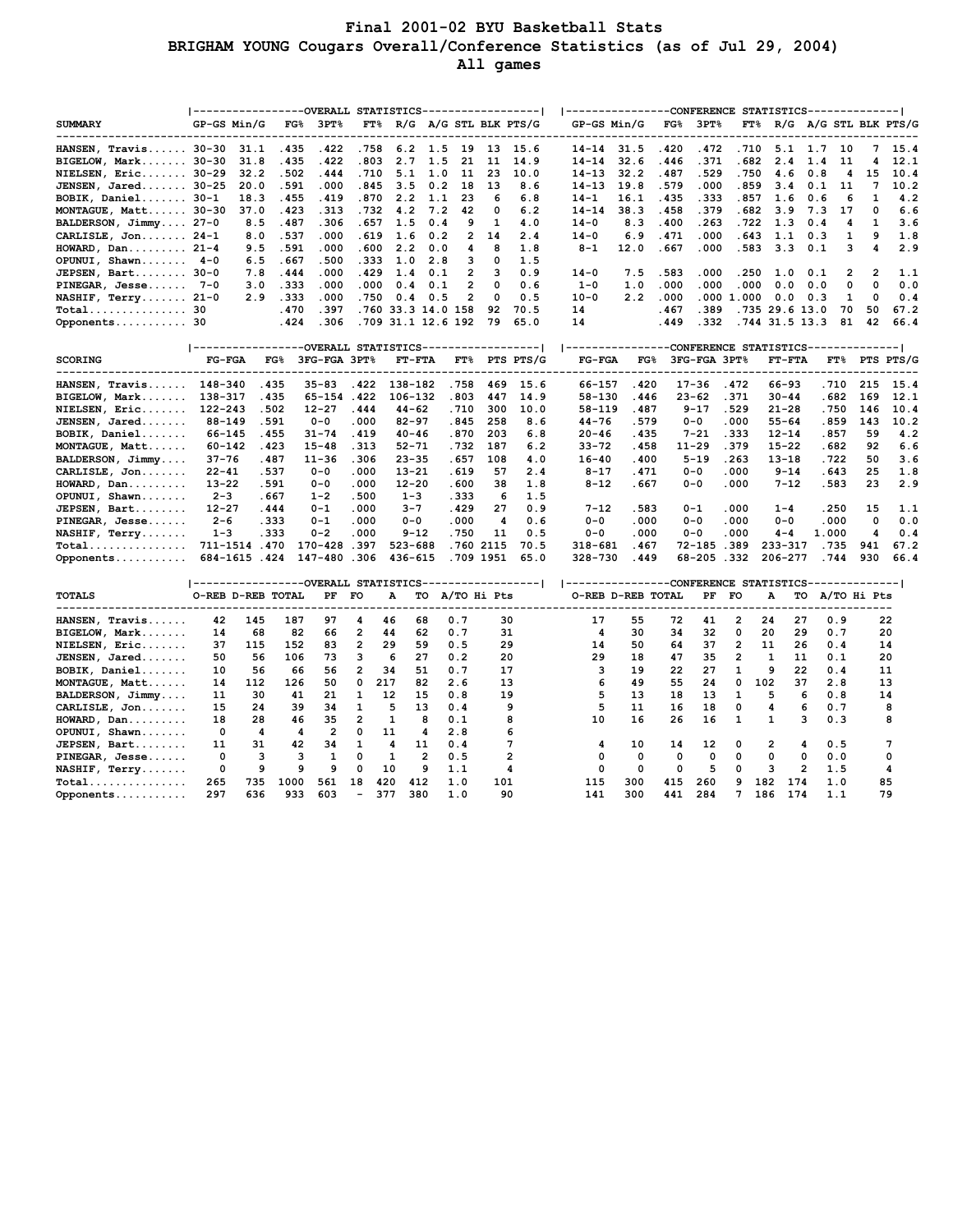## **Final 2001-02 BYU Basketball Stats BRIGHAM YOUNG Cougars Overall/Conference Statistics (as of Jul 29, 2004) All games**

|                                            | -----------------OVERALL STATISTICS------------------ |              |                 |                  |                  |                        |     |                |            |                                         | ----------------CONFERENCE STATISTICS-------------- |                                                     |                |                 |                |                           |                |              |                |             |
|--------------------------------------------|-------------------------------------------------------|--------------|-----------------|------------------|------------------|------------------------|-----|----------------|------------|-----------------------------------------|-----------------------------------------------------|-----------------------------------------------------|----------------|-----------------|----------------|---------------------------|----------------|--------------|----------------|-------------|
| <b>SUMMARY</b>                             | GP-GS Min/G                                           |              |                 | $FG\$ 3PT $\%$   |                  |                        |     |                |            | $FT$ <sup>8</sup> R/G A/G STL BLK PTS/G |                                                     | GP-GS Min/G                                         |                | $FG\$ 3PT $\%$  |                | FT% R/G A/G STL BLK PTS/G |                |              |                |             |
|                                            |                                                       |              |                 |                  |                  |                        |     |                |            |                                         |                                                     |                                                     |                |                 |                |                           |                |              |                |             |
| HANSEN, Travis 30-30                       |                                                       | 31.1         | .435            | .422             | .758             | 6.2                    | 1.5 | 19             | 13         | 15.6                                    | $14 - 14$                                           | 31.5                                                | .420           | .472            | .710           | 5.1                       | 1.7            | 10           | 7              | 15.4        |
| $BIGELOW, Mark 30-30$                      |                                                       | 31.8         | .435            | .422             | .803             | 2.7                    | 1.5 | 21             | 11         | 14.9                                    | $14 - 14$                                           | 32.6                                                | .446           | .371            | .682           | 2.4                       | 1.4            | 11           | 4              | 12.1        |
| <b>NIELSEN, Eric 30-29</b>                 |                                                       | 32.2         | .502            | .444             | .710             | 5.1                    | 1.0 | 11             | 23         | 10.0                                    | $14 - 13$                                           | 32.2                                                | .487           | .529            | .750           | 4.6                       | 0.8            | 4            | 15             | 10.4        |
| JENSEN, Jared 30-25                        |                                                       | 20.0         | .591            | .000             | .845             | 3.5                    | 0.2 | 18             | 13         | 8.6                                     | $14 - 13$                                           | 19.8                                                | .579           | .000            | .859           | 3.4                       | 0.1            | 11           | 7              | 10.2        |
| BOBIK, Daniel 30-1                         |                                                       | 18.3         | .455            | .419             | .870             | 2.2                    | 1.1 | 23             | 6          | 6.8                                     | $14 - 1$                                            | 16.1                                                | .435           | . 333           | .857           | 1.6                       | 0.6            | 6            | 1              | 4.2         |
| MONTAGUE, Matt 30-30                       |                                                       | 37.0         | .423            | . 313            | .732             | 4.2                    | 7.2 | 42             | 0          | 6.2                                     | $14 - 14$                                           | 38.3                                                | .458           | .379            | .682           | 3.9                       | 7.3            | 17           | 0              | 6.6         |
| BALDERSON, Jimmy 27-0                      |                                                       | 8.5          | .487            | .306             | .657             | 1.5                    | 0.4 | 9              | 1          | 4.0                                     | $14 - 0$                                            | 8.3                                                 | .400           | .263            | . 722          | 1.3                       | 0.4            | 4            | 1              | 3.6         |
| CARLISLE, Jon 24-1                         |                                                       | 8.0          | .537            | .000             | .619             | 1.6                    | 0.2 | 2              | 14         | 2.4                                     | $14 - 0$                                            | 6.9                                                 | .471           | .000            | .643           | 1.1                       | 0.3            | 1            | ۹              | 1.8         |
| $HOWARD$ , $Dan \ldots \ldots \ldots 21-4$ |                                                       | 9.5          | .591            | .000             | .600             | 2.2                    | 0.0 | 4              | 8          | 1.8                                     | $8 - 1$                                             | 12.0                                                | .667           | .000            | .583           | 3.3                       | 0.1            | 3            | 4              | 2.9         |
| OPUNUI, Shawn 4-0                          |                                                       | 6.5          | .667            | .500             | . 333            | 1.0                    | 2.8 | з              | 0          | 1.5                                     |                                                     |                                                     |                |                 |                |                           |                |              |                |             |
| JEPSEN, Bart 30-0                          |                                                       | 7.8          | .444            | .000             | .429             | 1.4                    | 0.1 | 2              | 3          | 0.9                                     | $14 - 0$                                            | 7.5                                                 | .583           | .000            | .250           | 1.0                       | 0.1            | 2            | $\overline{2}$ | 1.1         |
| $PINEGAR, Jesse 7-0$                       |                                                       | 3.0          | .333            | .000             | .000             | 0.4                    | 0.1 | $\overline{2}$ | 0          | 0.6                                     | $1 - 0$                                             | 1.0                                                 | .000           | .000            | .000           | 0.0                       | 0.0            | 0            | 0              | 0.0         |
| NASHIF, Terry 21-0                         |                                                       | 2.9          | .333            | .000             | .750             | 0.4                    | 0.5 | $\overline{2}$ | 0          | 0.5                                     | $10 - 0$                                            | 2.2                                                 | .000           |                 | .000 1.000     | 0.0                       | 0.3            | 1            | 0              | 0.4         |
| $Total$ 30                                 |                                                       |              | .470            | .397             |                  | .760 33.3 14.0 158     |     |                | 92         | 70.5                                    | 14                                                  |                                                     | .467           | .389            |                | .735 29.6 13.0            |                | 70           | 50             | 67.2        |
| Opponents 30                               |                                                       |              | .424            | .306             |                  | .709 31.1 12.6 192     |     |                | 79         | 65.0                                    | 14                                                  |                                                     | .449           | . 332           |                | .744 31.5 13.3            |                | 81           | 42             | 66.4        |
|                                            |                                                       |              |                 |                  |                  |                        |     |                |            |                                         |                                                     |                                                     |                |                 |                |                           |                |              |                |             |
|                                            | -----------------OVERALL STATISTICS------------------ |              |                 |                  |                  |                        |     |                |            |                                         |                                                     | ----------------CONFERENCE STATISTICS-------------- |                |                 |                |                           |                |              |                |             |
| <b>SCORING</b>                             | $FG-FGA$                                              |              | $_{\rm FG8}$    | 3FG-FGA 3PT%     |                  | $FT-FTA$               |     |                |            | FT% PTS PTS/G                           | $FG-FGA$                                            | $_{\rm FG8}$                                        |                | 3FG-FGA 3PT%    |                | $FT-FTA$                  |                | $FT\%$       |                | PTS PTS/G   |
|                                            |                                                       |              |                 |                  |                  |                        |     |                |            |                                         |                                                     |                                                     |                |                 |                |                           |                |              |                |             |
| HANSEN, Travis                             | 148-340                                               | .435         |                 | $35 - 83$        | .422             | 138-182                |     | .758           | 469        | 15.6                                    | 66-157                                              | .420                                                |                | 17-36           | .472           | 66-93                     |                | .710         | 215            | 15.4        |
| BIGELOW, Mark                              | 138-317                                               | .435         |                 | 65-154.422       |                  | 106-132                |     | .803           | 447        | 14.9                                    | 58-130                                              | .446                                                |                | $23 - 62$       | .371           | $30 - 44$                 |                | .682         | 169            | 12.1        |
| NIELSEN, Eric                              | 122-243                                               | .502         |                 | 12-27            | . 444            | $44 - 62$              |     | .710           | 300        | 10.0                                    | 58-119                                              | .487                                                |                | 9-17            | .529           | $21 - 28$                 |                | .750         | 146            | 10.4        |
| JENSEN, Jared                              | 88-149                                                | .591         |                 | $0 - 0$          | .000             | $82 - 97$              |     | .845           | 258<br>203 | 8.6                                     | $44 - 76$                                           | .579                                                |                | $0 - 0$         | .000           | $55 - 64$                 |                | .859         | 143            | 10.2<br>4.2 |
| BOBIK, Daniel                              | 66-145                                                | .455         |                 | $31 - 74$        | .419             | $40 - 46$              |     | .870           |            | 6.8                                     | 20-46                                               | .435                                                |                | 7-21            | . 333          | $12 - 14$                 |                | .857<br>.682 | 59             | 6.6         |
| MONTAGUE, Matt                             | $60 - 142$                                            | .423         |                 | $15 - 48$        | . 313            | $52 - 71$              |     | . 732          | 187<br>108 | 6.2<br>4.0                              | $33 - 72$                                           | .458<br>.400                                        |                | $11 - 29$       | . 379          | $15 - 22$<br>$13 - 18$    |                | .722         | 92             | 3.6         |
| BALDERSON, Jimmy                           | 37–76<br>$22 - 41$                                    | .487<br>.537 |                 | 11-36<br>$0 - 0$ | .306<br>.000     | $23 - 35$<br>$13 - 21$ |     | . 657<br>. 619 | 57         | 2.4                                     | $16 - 40$<br>$8 - 17$                               | .471                                                |                | 5-19<br>$0 - 0$ | .263<br>.000   | $9 - 14$                  |                | . 643        | 50<br>25       | 1.8         |
| CARLISLE, Jon                              | $13 - 22$                                             | .591         |                 | $0 - 0$          | .000             | $12 - 20$              |     | .600           | 38         | 1.8                                     | $8 - 12$                                            | .667                                                |                | 0-0             | .000           | $7 - 12$                  |                | .583         | 23             | 2.9         |
| HOWARD, Dan                                | $2 - 3$                                               | .667         |                 | $1 - 2$          | .500             | $1 - 3$                |     | .333           | 6          | 1.5                                     |                                                     |                                                     |                |                 |                |                           |                |              |                |             |
| OPUNUI, Shawn<br>JEPSEN, Bart              | $12 - 27$                                             | .444         |                 | 0-1              | .000             | $3 - 7$                |     | . 429          | 27         | 0.9                                     | $7 - 12$                                            | .583                                                |                | 0-1             | .000           | $1 - 4$                   |                | .250         | 15             | 1.1         |
| PINEGAR, Jesse                             | $2 - 6$                                               | .333         |                 | $0 - 1$          | .000             | $0 - 0$                |     | .000           | 4          | 0.6                                     | $0 - 0$                                             | .000                                                |                | $0 - 0$         | .000           | $0 - 0$                   |                | .000         | 0              | 0.0         |
| NASHIF, Terry                              | 1-3                                                   | .333         |                 | $0 - 2$          | .000             | $9 - 12$               |     | .750           | 11         | 0.5                                     | $0 - 0$                                             | .000                                                |                | 0-0             | .000           | $4 - 4$                   |                | 1.000        | 4              | 0.4         |
| Total                                      | 711-1514                                              | .470         |                 | $170 - 428$      | .397             | $523 - 688$            |     | .760           | 2115       | 70.5                                    | $318 - 681$                                         | .467                                                |                | 72-185          | .389           | $233 - 317$               |                | .735         | 941            | 67.2        |
| Opponents                                  |                                                       | 684-1615.424 |                 | 147-480.306      |                  | 436-615                |     |                | .709 1951  | 65.0                                    | 328-730                                             | .449                                                |                | 68-205.332      |                | 206-277                   |                | .744         | 930            | 66.4        |
|                                            |                                                       |              |                 |                  |                  |                        |     |                |            |                                         |                                                     |                                                     |                |                 |                |                           |                |              |                |             |
|                                            | -----------------OVERALL STATISTICS                   |              |                 |                  |                  |                        |     |                |            |                                         |                                                     | ----------------CONFERENCE STATISTICS-------------- |                |                 |                |                           |                |              |                |             |
| <b>TOTALS</b>                              | O-REB D-REB TOTAL                                     |              |                 | PF               | FO               | A                      |     | TO A/TO Hi Pts |            |                                         |                                                     | O-REB D-REB TOTAL                                   |                | PF FO           |                | А                         | TO A/TO Hi Pts |              |                |             |
|                                            |                                                       |              |                 |                  |                  |                        |     |                |            |                                         |                                                     |                                                     |                |                 |                |                           |                |              |                |             |
| HANSEN, Travis                             | 42                                                    | 145          | 187             | 97               | 4                | 46                     | 68  | 0.7            | 30         |                                         | 17                                                  | 55                                                  | 72             | 41              | 2              | 24                        | 27             | 0.9          |                | 22          |
| BIGELOW, Mark                              | 14                                                    | 68           | 82              | 66               | 2                | 44                     | 62  | 0.7            | 31         |                                         | 4                                                   | 30                                                  | 34             | 32              | 0              | 20                        | 29             | 0.7          |                | 20          |
| NIELSEN, Eric                              | 37                                                    | 115          | 152             | 83               | 2                | 29                     | 59  | 0.5            | 29         |                                         | 14                                                  | 50                                                  | 64             | 37              | $\overline{2}$ | 11                        | 26             | 0.4          |                | 14          |
| TEMOEN Tened                               | $E^{\wedge}$                                          | E C          | 10 <sup>c</sup> | 72               | $\mathbf{\cdot}$ | $\epsilon$             | ר ה | $\sim$ $\sim$  | $\Omega$   |                                         | $\Omega$                                            | 10                                                  | $\overline{A}$ | 2E              | ົ              | $\mathbf{I}$              | 11.            | $^{\circ}$   |                | $\Omega$    |

| NIELSEN, Eric                | 37  | 115 | 152  | 83  | $\mathbf{z}$ | 29  | 59  | <b>U.S</b> | 29  | 14           | 50  | 64           | 37  | 2            | 11           | 26  | 0.4 | 14 |
|------------------------------|-----|-----|------|-----|--------------|-----|-----|------------|-----|--------------|-----|--------------|-----|--------------|--------------|-----|-----|----|
| JENSEN, Jared                | 50  | 56  | 106  | 73  | 3            | 6   | 27  | 0.2        | 20  | 29           | 18  | 47           | 35  | 2            |              | 11  | 0.1 | 20 |
| BOBIK, Daniel                | 10  | 56  | 66   | 56  | 2            | 34  | 51  | 0.7        | 17  |              | 19  | 22           | 27  |              | ۹            | 22  | 0.4 | 11 |
| MONTAGUE, Matt               | 14  | 112 | 126  | 50  | 0            | 217 | 82  | 2.6        | 13  | 6            | 49  | 55           | 24  | 0            | 102          | 37  | 2.8 | 13 |
| BALDERSON, Jimmy             | 11  | 30  | 41   | 21  |              | 12  | 15  | 0.8        | 19  | 5.           | 13  | 18           | 13  |              | 5.           | 6   | 0.8 | 14 |
| CARLISLE, Jon                | 15  | 24  | 39   | 34  |              | 5.  | 13  | 0.4        | 9   | 5.           | 11  | 16           | 18  | 0            | 4            | 6   | 0.7 | 8  |
| $HOWARD, Dan \ldots$         | 18  | 28  | 46   | 35  | 2            |     | 8   | 0.1        | 8   | 10           | 16  | 26           | 16  |              |              | 3.  | 0.3 | 8  |
| OPUNUI, Shawn                | 0   | 4   |      | 2   | <sup>0</sup> | 11  | 4   | 2.8        | 6   |              |     |              |     |              |              |     |     |    |
| JEPSEN, Bart                 | 11  | 31  | 42   | 34  |              |     | 11  | 0.4        |     | 4            | 10  | 14           | 12  | <sup>0</sup> | 2            |     | 0.5 |    |
| $\verb!PINEGAR!/ \;\; Jesse$ | 0   |     | ٩    |     | <sup>0</sup> |     | 2   | 0.5        | 2   | O.           | 0   | 0            | 0   | <sup>0</sup> | <sup>0</sup> |     | 0.0 |    |
| NASHIF, Terry                | 0   | 9   | ۹    | ۹   | 0            | 10  | ٩   | 1.1        | 4   | <sup>o</sup> | 0   | <sup>0</sup> | 5.  |              | ٩            |     | 1.5 | 4  |
|                              | 265 | 735 | 1000 | 561 | 18           | 420 | 412 | 1.0        | 101 | 115          | 300 | 415          | 260 | 9            | 182          | 174 | 1.0 | 85 |
| Opponents                    | 297 | 636 | 933  | 603 | -            | 377 | 380 | 1.0        | 90  | 141          | 300 | 441          | 284 |              | 186          | 174 | 1.1 | 79 |
|                              |     |     |      |     |              |     |     |            |     |              |     |              |     |              |              |     |     |    |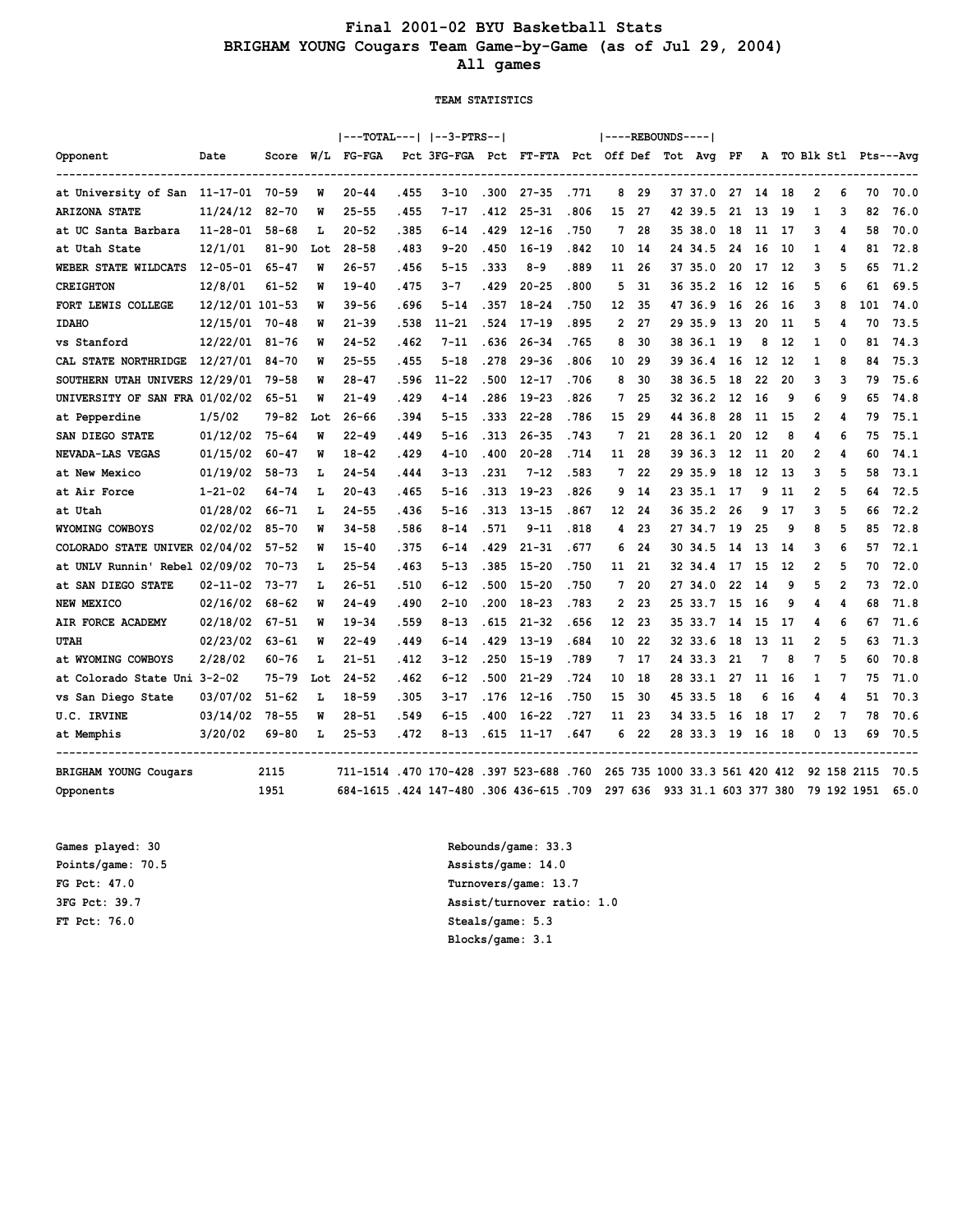## **Final 2001-02 BYU Basketball Stats BRIGHAM YOUNG Cougars Team Game-by-Game (as of Jul 29, 2004) All games**

#### **TEAM STATISTICS**

|                                     |                 |           |     |                                         |       | ---TOTAL---   --3-PTRS--                      |       |           |       | $ ----REBOUNDS--- $ |    |    |                               |     |    |      |                |                |             |                        |
|-------------------------------------|-----------------|-----------|-----|-----------------------------------------|-------|-----------------------------------------------|-------|-----------|-------|---------------------|----|----|-------------------------------|-----|----|------|----------------|----------------|-------------|------------------------|
| Opponent                            | Date            | Score     |     | W/L FG-FGA                              |       | Pct 3FG-FGA Pct FT-FTA Pct Off Def Tot Avg PF |       |           |       |                     |    |    |                               |     |    |      |                |                |             | A TO Blk Stl Pts---Avg |
| at University of San 11-17-01 70-59 |                 |           | W   | $20 - 44$                               | . 455 | $3 - 10$                                      | .300  | $27 - 35$ | . 771 | 8                   | 29 |    | 37 37.0                       | 27  | 14 | 18   | 2              | 6              | 70          | 70.0                   |
| <b>ARIZONA STATE</b>                | 11/24/12        | $82 - 70$ | M   | $25 - 55$                               | . 455 | $7 - 17$                                      | .412  | $25 - 31$ | .806  | 15                  | 27 |    | 42 39.5                       | 21  | 13 | 19   | $\mathbf{1}$   | 3              | 82          | 76.0                   |
| at UC Santa Barbara                 | $11 - 28 - 01$  | $58 - 68$ | L   | $20 - 52$                               | . 385 | $6 - 14$                                      | . 429 | $12 - 16$ | .750  | 7                   | 28 |    | 35 38.0                       | 18  | 11 | 17   | 3              | 4              | 58          | 70.0                   |
| at Utah State                       | 12/1/01         | $81 - 90$ | Lot | $28 - 58$                               | . 483 | $9 - 20$                                      | .450  | $16 - 19$ | . 842 | 10                  | 14 |    | 24 34.5                       | 24  | 16 | 10   | 1              | 4              | 81          | 72.8                   |
| WEBER STATE WILDCATS                | $12 - 05 - 01$  | $65 - 47$ | W   | $26 - 57$                               | . 456 | $5 - 15$                                      | . 333 | $8 - 9$   | .889  | 11                  | 26 |    | 37 35.0                       | 20  | 17 | 12   | 3              | 5              | 65          | 71.2                   |
| <b>CREIGHTON</b>                    | 12/8/01         | 61-52     | M   | $19 - 40$                               | . 475 | $3 - 7$                                       | .429  | $20 - 25$ | .800  | 5                   | 31 |    | 36 35.2                       | 16  | 12 | 16   | 5              | 6              | 61          | 69.5                   |
| FORT LEWIS COLLEGE                  | 12/12/01 101-53 |           | W   | $39 - 56$                               | . 696 | $5 - 14$                                      | . 357 | $18 - 24$ | .750  | 12                  | 35 |    | 47 36.9                       | 16  | 26 | 16   | 3              | 8              | 101         | 74.0                   |
| <b>IDAHO</b>                        | 12/15/01        | $70 - 48$ | M   | $21 - 39$                               | .538  | $11 - 21$                                     | .524  | $17 - 19$ | .895  | $\overline{2}$      | 27 |    | 29 35.9                       | 13  | 20 | 11   | 5              | 4              | 70          | 73.5                   |
| vs Stanford                         | 12/22/01        | $81 - 76$ | M   | $24 - 52$                               | . 462 | $7 - 11$                                      | .636  | $26 - 34$ | .765  | 8                   | 30 | 38 | 36.1                          | 19  | 8  | 12   | 1              | 0              | 81          | 74.3                   |
| CAL STATE NORTHRIDGE                | 12/27/01        | 84-70     | M   | $25 - 55$                               | . 455 | $5 - 18$                                      | .278  | $29 - 36$ | .806  | 10                  | 29 |    | 39 36.4                       | 16  | 12 | 12   | 1              | 8              | 84          | 75.3                   |
| SOUTHERN UTAH UNIVERS 12/29/01      |                 | 79-58     | M   | $28 - 47$                               | .596  | $11 - 22$                                     | .500  | $12 - 17$ | .706  | 8                   | 30 |    | 38 36.5                       | 18  | 22 | 20   | 3              | 3              | 79          | 75.6                   |
| UNIVERSITY OF SAN FRA 01/02/02      |                 | $65 - 51$ | M   | $21 - 49$                               | . 429 | $4 - 14$                                      | .286  | $19 - 23$ | .826  | 7                   | 25 |    | 32 36.2                       | 12  | 16 | 9    | 6              | 9              | 65          | 74.8                   |
| at Pepperdine                       | 1/5/02          | 79-82     | Lot | $26 - 66$                               | . 394 | $5 - 15$                                      | . 333 | $22 - 28$ | .786  | 15                  | 29 |    | 44 36.8                       | 28  | 11 | 15   | 2              | 4              | 79          | 75.1                   |
| SAN DIEGO STATE                     | 01/12/02        | $75 - 64$ | M   | $22 - 49$                               | . 449 | $5 - 16$                                      | .313  | $26 - 35$ | . 743 | 7                   | 21 |    | 28 36.1                       | 20  | 12 | 8    | 4              | 6              | 75          | 75.1                   |
| NEVADA-LAS VEGAS                    | 01/15/02        | $60 - 47$ | M   | $18 - 42$                               | . 429 | $4 - 10$                                      | .400  | $20 - 28$ | . 714 | 11                  | 28 |    | 39 36.3                       | 12  | 11 | 20   | 2              | 4              | 60          | 74.1                   |
| at New Mexico                       | 01/19/02        | $58 - 73$ | L   | $24 - 54$                               | .444  | $3 - 13$                                      | .231  | $7 - 12$  | .583  | 7                   | 22 |    | 29 35.9                       | 18  | 12 | 13   | 3              | 5              | 58          | 73.1                   |
| at Air Force                        | $1 - 21 - 02$   | 64-74     | г   | $20 - 43$                               | . 465 | $5 - 16$                                      | .313  | $19 - 23$ | .826  | 9                   | 14 |    | 23 35.1                       | 17  | 9  | 11   | 2              | 5              | 64          | 72.5                   |
| at Utah                             | 01/28/02        | 66-71     | ъ   | $24 - 55$                               | . 436 | $5 - 16$                                      | .313  | $13 - 15$ | .867  | 12                  | 24 |    | 36 35.2                       | 26  | 9  | 17   | 3              | 5              | 66          | 72.2                   |
| WYOMING COWBOYS                     | 02/02/02        | $85 - 70$ | M   | $34 - 58$                               | .586  | $8 - 14$                                      | .571  | $9 - 11$  | .818  | 4                   | 23 |    | 27 34.7                       | 19  | 25 | 9    | 8              | 5              | 85          | 72.8                   |
| COLORADO STATE UNIVER 02/04/02      |                 | $57 - 52$ | W   | $15 - 40$                               | . 375 | $6 - 14$                                      | . 429 | $21 - 31$ | . 677 | 6                   | 24 |    | 30 34.5                       | 14  | 13 | 14   | 3              | 6              | 57          | 72.1                   |
| at UNLV Runnin' Rebel 02/09/02      |                 | $70 - 73$ | г   | $25 - 54$                               | . 463 | $5 - 13$                                      | .385  | $15 - 20$ | .750  | 11                  | 21 |    | 32 34.4                       | 17  | 15 | 12   | $\overline{2}$ | 5              | 70          | 72.0                   |
| at SAN DIEGO STATE                  | $02 - 11 - 02$  | $73 - 77$ | L   | $26 - 51$                               | .510  | $6 - 12$                                      | .500  | $15 - 20$ | .750  | 7                   | 20 |    | 27 34.0                       | 22  | 14 | 9    | 5              | $\overline{2}$ | 73          | 72.0                   |
| NEW MEXICO                          | 02/16/02        | $68 - 62$ | M   | $24 - 49$                               | . 490 | $2 - 10$                                      | .200  | $18 - 23$ | .783  | $\mathbf{2}$        | 23 |    | 25 33.7                       | 15  | 16 | 9    | 4              | 4              | 68          | 71.8                   |
| AIR FORCE ACADEMY                   | 02/18/02        | $67 - 51$ | M   | $19 - 34$                               | .559  | $8 - 13$                                      | .615  | $21 - 32$ | . 656 | 12                  | 23 |    | 35 33.7                       | -14 | 15 | 17   | 4              | 6              | 67          | 71.6                   |
| <b>UTAH</b>                         | 02/23/02        | $63 - 61$ | M   | $22 - 49$                               | . 449 | $6 - 14$                                      | .429  | $13 - 19$ | . 684 | 10                  | 22 |    | 32 33.6                       | 18  | 13 | 11   | 2              | 5              | 63          | 71.3                   |
| at WYOMING COWBOYS                  | 2/28/02         | 60-76     | L   | $21 - 51$                               | . 412 | $3 - 12$                                      | . 250 | $15 - 19$ | .789  | 7                   | 17 |    | 24 33.3                       | 21  | 7  | 8    | 7              | 5              | 60          | 70.8                   |
| at Colorado State Uni 3-2-02        |                 | $75 - 79$ | Lot | $24 - 52$                               | . 462 | $6 - 12$                                      | .500  | $21 - 29$ | .724  | 10                  | 18 |    | 28 33.1                       | 27  | 11 | 16   | 1              | 7              | 75          | 71.0                   |
| vs San Diego State                  | 03/07/02        | $51 - 62$ | ъ   | $18 - 59$                               | . 305 | $3 - 17$                                      | . 176 | $12 - 16$ | .750  | 15                  | 30 |    | 45 33.5                       | 18  | 6  | 16   | 4              | 4              | 51          | 70.3                   |
| U.C. IRVINE                         | 03/14/02        | $78 - 55$ | M   | $28 - 51$                               | . 549 | $6 - 15$                                      | .400  | $16 - 22$ | .727  | 11                  | 23 |    | 34 33.5                       | 16  | 18 | 17   | 2              | 7              | 78          | 70.6                   |
| at Memphis                          | 3/20/02         | 69-80     | L   | $25 - 53$                               | . 472 | $8 - 13$                                      | .615  | 11-17     | .647  | 6                   | 22 |    | 28 33.3                       | 19  | 16 | - 18 | 0              | 13             | 69          | 70.5                   |
| <b>BRIGHAM YOUNG Cougars</b>        |                 | 2115      |     | 711-1514 .470 170-428 .397 523-688 .760 |       |                                               |       |           |       |                     |    |    | 265 735 1000 33.3 561 420 412 |     |    |      |                |                | 92 158 2115 | 70.5                   |
| Opponents                           |                 | 1951      |     | 684-1615 .424 147-480 .306 436-615 .709 |       |                                               |       |           |       | 297 636             |    |    | 933 31.1 603 377 380          |     |    |      |                |                | 79 192 1951 | 65.0                   |

**FT Pct: 76.0 Steals/game: 5.3**

**Games played: 30 Rebounds/game: 33.3 Points/game: 70.5 Assists/game: 14.0 FG Pct: 47.0 Turnovers/game: 13.7 3FG Pct: 39.7 Assist/turnover ratio: 1.0 Blocks/game: 3.1**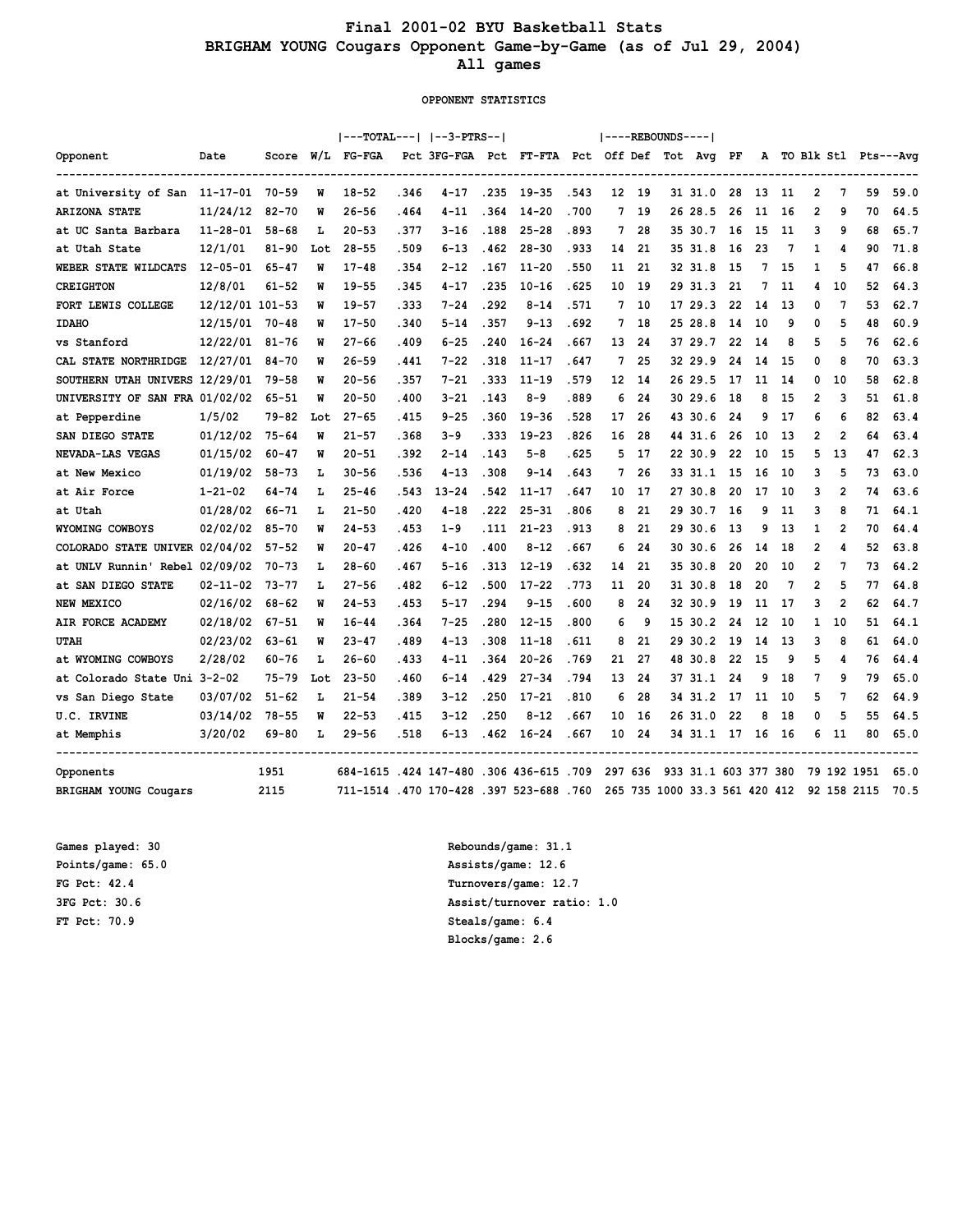## **Final 2001-02 BYU Basketball Stats BRIGHAM YOUNG Cougars Opponent Game-by-Game (as of Jul 29, 2004) All games**

#### **OPPONENT STATISTICS**

|                                              |                 |           |     | ---TOTAL---   --3-PTRS--                |       |                                               |       |           |       |         |       | ----REBOUNDS---- |                               |    |    |      |                |                |             |                        |
|----------------------------------------------|-----------------|-----------|-----|-----------------------------------------|-------|-----------------------------------------------|-------|-----------|-------|---------|-------|------------------|-------------------------------|----|----|------|----------------|----------------|-------------|------------------------|
| Opponent<br>-------------------------------- | Date            | Score     |     | $W/L$ FG-FGA                            |       | Pct 3FG-FGA Pct FT-FTA Pct Off Def Tot Avg PF |       |           |       |         |       |                  |                               |    |    |      |                |                |             | A TO Blk Stl Pts---Avg |
| at University of San 11-17-01 70-59          |                 |           | W   | $18 - 52$                               | . 346 | $4 - 17$                                      | .235  | 19-35     | .543  |         | 12 19 |                  | 31 31.0                       | 28 | 13 | -11  | 2              | 7              | 59          | 59.0                   |
| <b>ARIZONA STATE</b>                         | 11/24/12        | $82 - 70$ | M   | $26 - 56$                               | . 464 | $4 - 11$                                      | .364  | $14 - 20$ | .700  | 7       | 19    |                  | 26 28.5                       | 26 | 11 | 16   | 2              | 9              | 70          | 64.5                   |
| at UC Santa Barbara                          | 11-28-01        | $58 - 68$ | L   | $20 - 53$                               | . 377 | $3 - 16$                                      | .188  | $25 - 28$ | .893  | 7       | 28    |                  | 35 30.7                       | 16 | 15 | 11   | 3              | 9              | 68          | 65.7                   |
| at Utah State                                | 12/1/01         | 81-90     | Lot | $28 - 55$                               | .509  | $6 - 13$                                      | . 462 | $28 - 30$ | .933  | 14      | 21    |                  | 35 31.8                       | 16 | 23 | 7    | $\mathbf{1}$   | 4              | 90          | 71.8                   |
| WEBER STATE WILDCATS                         | $12 - 05 - 01$  | $65 - 47$ | M   | $17 - 48$                               | . 354 | $2 - 12$                                      | . 167 | $11 - 20$ | .550  | 11      | 21    |                  | 32 31.8                       | 15 | 7  | 15   | 1              | 5              | 47          | 66.8                   |
| <b>CREIGHTON</b>                             | 12/8/01         | $61 - 52$ | M   | $19 - 55$                               | . 345 | $4 - 17$                                      | .235  | $10 - 16$ | .625  | 10      | 19    |                  | 29 31.3                       | 21 | 7  | 11   | 4              | 10             | 52          | 64.3                   |
| FORT LEWIS COLLEGE                           | 12/12/01 101-53 |           | W   | $19 - 57$                               | . 333 | $7 - 24$                                      | . 292 | $8 - 14$  | .571  | 7       | 10    |                  | 17 29.3                       | 22 | 14 | 13   | 0              | 7              | 53          | 62.7                   |
| <b>IDAHO</b>                                 | 12/15/01        | $70 - 48$ | M   | $17 - 50$                               | .340  | $5 - 14$                                      | .357  | $9 - 13$  | .692  | 7       | 18    |                  | 25 28.8                       | 14 | 10 | 9    | 0              | 5              | 48          | 60.9                   |
| vs Stanford                                  | 12/22/01        | $81 - 76$ | W   | $27 - 66$                               | . 409 | $6 - 25$                                      | .240  | $16 - 24$ | .667  | 13      | 24    |                  | 37 29.7                       | 22 | 14 | 8    | 5              | 5              | 76          | 62.6                   |
| CAL STATE NORTHRIDGE                         | 12/27/01        | $84 - 70$ | M   | $26 - 59$                               | . 441 | $7 - 22$                                      | .318  | $11 - 17$ | .647  | 7       | 25    |                  | 32 29.9                       | 24 | 14 | 15   | 0              | 8              | 70          | 63.3                   |
| SOUTHERN UTAH UNIVERS 12/29/01               |                 | $79 - 58$ | W   | $20 - 56$                               | .357  | $7 - 21$                                      | .333  | $11 - 19$ | .579  | 12      | -14   |                  | 26 29.5                       | 17 | 11 | 14   | 0              | 10             | 58          | 62.8                   |
| UNIVERSITY OF SAN FRA 01/02/02               |                 | $65 - 51$ | M   | $20 - 50$                               | .400  | $3 - 21$                                      | .143  | $8 - 9$   | .889  | 6       | 24    |                  | 30 29.6                       | 18 | 8  | 15   | 2              | 3              | 51          | 61.8                   |
| at Pepperdine                                | 1/5/02          | $79 - 82$ | Lot | $27 - 65$                               | . 415 | $9 - 25$                                      | .360  | $19 - 36$ | .528  | 17      | 26    |                  | 43 30.6                       | 24 | 9  | 17   | 6              | 6              | 82          | 63.4                   |
| SAN DIEGO STATE                              | 01/12/02        | $75 - 64$ | M   | $21 - 57$                               | . 368 | $3 - 9$                                       | .333  | $19 - 23$ | .826  | 16      | 28    |                  | 44 31.6                       | 26 | 10 | 13   | 2              | $\overline{2}$ | 64          | 63.4                   |
| NEVADA-LAS VEGAS                             | 01/15/02        | $60 - 47$ | W   | $20 - 51$                               | . 392 | $2 - 14$                                      | . 143 | $5 - 8$   | . 625 | 5       | 17    |                  | 22 30.9                       | 22 | 10 | 15   | 5              | 13             | 47          | 62.3                   |
| at New Mexico                                | 01/19/02        | $58 - 73$ | L   | $30 - 56$                               | .536  | $4 - 13$                                      | .308  | $9 - 14$  | .643  | 7       | 26    |                  | 33 31.1                       | 15 | 16 | 10   | 3              | 5              | 73          | 63.0                   |
| at Air Force                                 | $1 - 21 - 02$   | $64 - 74$ | ъ   | $25 - 46$                               | . 543 | $13 - 24$                                     | .542  | $11 - 17$ | .647  | 10      | 17    |                  | 27 30.8                       | 20 | 17 | 10   | 3              | $\overline{2}$ | 74          | 63.6                   |
| at Utah                                      | 01/28/02        | 66-71     | L   | $21 - 50$                               | .420  | $4 - 18$                                      | .222  | $25 - 31$ | .806  | 8       | 21    |                  | 29 30.7                       | 16 | 9  | 11   | 3              | 8              | 71          | 64.1                   |
| WYOMING COWBOYS                              | 02/02/02        | 85-70     | M   | $24 - 53$                               | .453  | $1 - 9$                                       | .111  | $21 - 23$ | .913  | 8       | 21    |                  | 29 30.6                       | 13 | 9  | 13   | 1              | $\overline{2}$ | 70          | 64.4                   |
| COLORADO STATE UNIVER 02/04/02               |                 | $57 - 52$ | W   | $20 - 47$                               | . 426 | $4 - 10$                                      | .400  | $8 - 12$  | .667  | 6       | 24    |                  | 30 30.6                       | 26 | 14 | 18   | 2              | 4              | 52          | 63.8                   |
| at UNLV Runnin' Rebel 02/09/02               |                 | $70 - 73$ | L   | $28 - 60$                               | . 467 | $5 - 16$                                      | .313  | $12 - 19$ | .632  | 14      | 21    |                  | 35 30.8                       | 20 | 20 | 10   | $\overline{2}$ | 7              | 73          | 64.2                   |
| at SAN DIEGO STATE                           | 02-11-02        | 73-77     | L   | $27 - 56$                               | .482  | $6 - 12$                                      | .500  | $17 - 22$ | .773  | 11      | 20    |                  | 31 30.8                       | 18 | 20 | 7    | $\overline{2}$ | 5              | 77          | 64.8                   |
| NEW MEXICO                                   | 02/16/02        | 68-62     | W   | $24 - 53$                               | . 453 | $5 - 17$                                      | .294  | $9 - 15$  | .600  | 8       | 24    |                  | 32 30.9                       | 19 | 11 | 17   | 3              | $\overline{2}$ | 62          | 64.7                   |
| AIR FORCE ACADEMY                            | 02/18/02        | $67 - 51$ | W   | $16 - 44$                               | . 364 | $7 - 25$                                      | .280  | $12 - 15$ | .800  | 6       | q     |                  | 15 30.2                       | 24 | 12 | 10   | 1              | 10             | 51          | 64.1                   |
| <b>UTAH</b>                                  | 02/23/02        | $63 - 61$ | M   | $23 - 47$                               | . 489 | $4 - 13$                                      | .308  | $11 - 18$ | . 611 | 8       | 21    |                  | 29 30.2                       | 19 | 14 | 13   | 3              | 8              | 61          | 64.0                   |
| at WYOMING COWBOYS                           | 2/28/02         | 60-76     | L   | $26 - 60$                               | . 433 | $4 - 11$                                      | . 364 | $20 - 26$ | .769  | 21      | 27    |                  | 48 30.8                       | 22 | 15 | 9    | 5              | 4              | 76          | 64.4                   |
| at Colorado State Uni 3-2-02                 |                 | $75 - 79$ | Lot | $23 - 50$                               | . 460 | $6 - 14$                                      | .429  | $27 - 34$ | .794  | 13      | 24    |                  | 37 31.1                       | 24 | 9  | 18   | 7              | 9              | 79          | 65.0                   |
| vs San Diego State                           | 03/07/02        | $51 - 62$ | ъ   | $21 - 54$                               | . 389 | $3 - 12$                                      | .250  | $17 - 21$ | .810  | 6       | 28    |                  | 34 31.2                       | 17 | 11 | 10   | 5              | 7              | 62          | 64.9                   |
| U.C. IRVINE                                  | 03/14/02        | $78 - 55$ | M   | $22 - 53$                               | . 415 | $3 - 12$                                      | .250  | $8 - 12$  | .667  | 10      | 16    |                  | 26 31.0                       | 22 | 8  | 18   | 0              | 5              | 55          | 64.5                   |
| at Memphis                                   | 3/20/02         | 69-80     | ъ   | $29 - 56$                               | .518  | $6 - 13$                                      | .462  | $16 - 24$ | .667  | 10      | 24    |                  | 34 31.1 17                    |    | 16 | - 16 | 6              | 11             | 80          | 65.0                   |
| Opponents                                    |                 | 1951      |     | 684-1615 .424 147-480 .306 436-615 .709 |       |                                               |       |           |       | 297 636 |       |                  | 933 31.1 603 377 380          |    |    |      |                |                | 79 192 1951 | 65.0                   |
| <b>BRIGHAM YOUNG Cougars</b>                 |                 | 2115      |     | 711-1514 .470 170-428 .397 523-688 .760 |       |                                               |       |           |       |         |       |                  | 265 735 1000 33.3 561 420 412 |    |    |      |                |                | 92 158 2115 | 70.5                   |

**FT Pct: 70.9 Steals/game: 6.4**

**Games played: 30 Rebounds/game: 31.1 Points/game: 65.0 Assists/game: 12.6 FG Pct: 42.4 Turnovers/game: 12.7 3FG Pct: 30.6 Assist/turnover ratio: 1.0 Blocks/game: 2.6**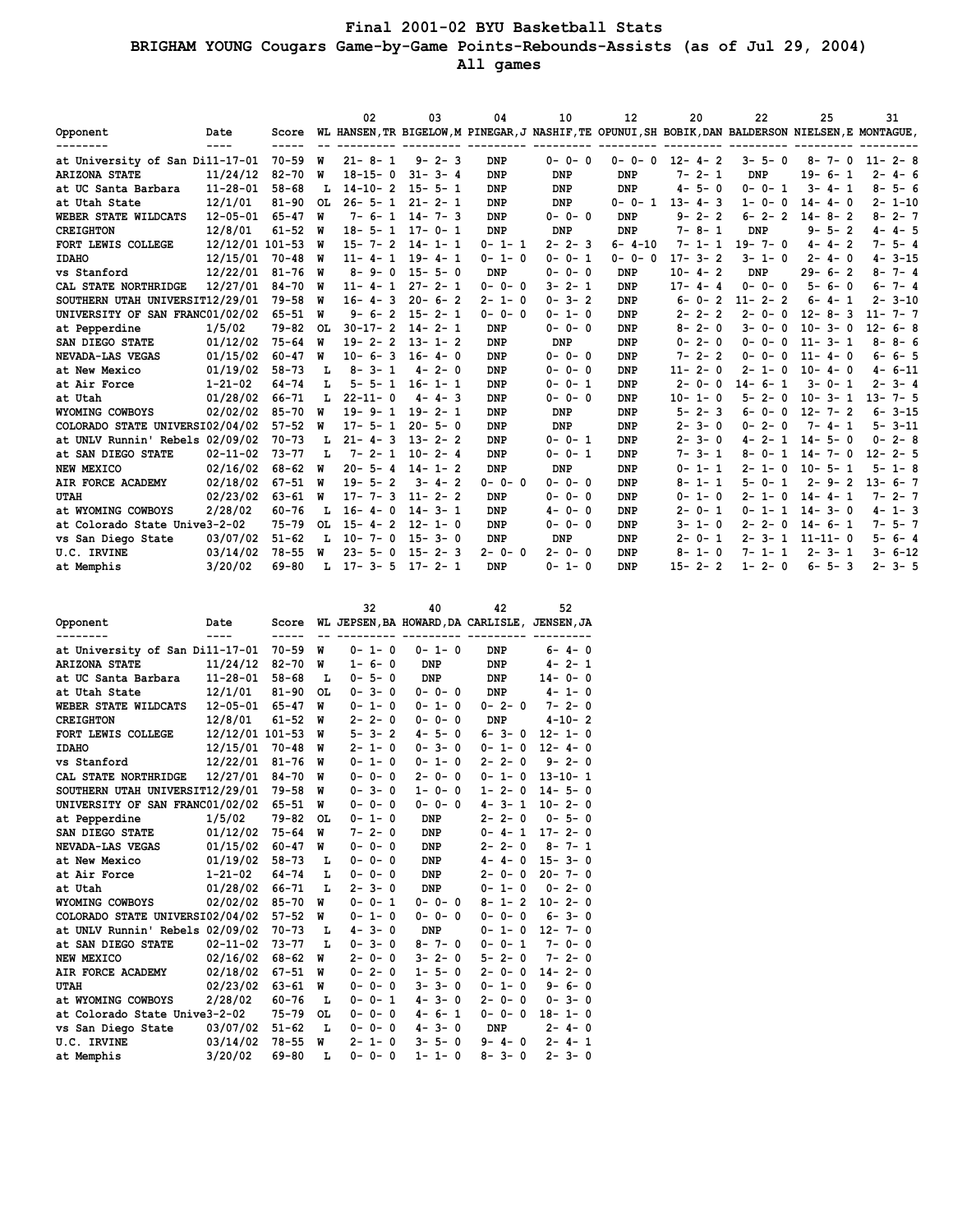## **Final 2001-02 BYU Basketball Stats BRIGHAM YOUNG Cougars Game-by-Game Points-Rebounds-Assists (as of Jul 29, 2004) All games**

|                                 |                 |             |     | 02                | 03           | 04          | 10                                                                                                  | 12           | 20           | 22             | 25            | 31           |
|---------------------------------|-----------------|-------------|-----|-------------------|--------------|-------------|-----------------------------------------------------------------------------------------------------|--------------|--------------|----------------|---------------|--------------|
| Opponent                        | Date            | Score       |     |                   |              |             | WL HANSEN, TR BIGELOW, M PINEGAR, J NASHIF, TE OPUNUI, SH BOBIK, DAN BALDERSON NIELSEN, E MONTAGUE, |              |              |                |               |              |
| at University of San Dill-17-01 |                 | $70 - 59$   | W   | $21 - 8 - 1$      | $9 - 2 - 3$  | <b>DNP</b>  | $0 - 0 - 0$                                                                                         | $0 - 0 - 0$  | $12 - 4 - 2$ | $3 - 5 - 0$    | $8 - 7 - 0$   | $11 - 2 - 8$ |
| <b>ARIZONA STATE</b>            | 11/24/12        | $82 - 70$   | W   | $18 - 15 - 0$     | $31 - 3 - 4$ | <b>DNP</b>  | DNP                                                                                                 | <b>DNP</b>   | $7 - 2 - 1$  | <b>DNP</b>     | $19 - 6 - 1$  | $2 - 4 - 6$  |
| at UC Santa Barbara             | $11 - 28 - 01$  | $58 - 68$   | L   | $14 - 10 - 2$     | $15 - 5 - 1$ | <b>DNP</b>  | <b>DNP</b>                                                                                          | <b>DNP</b>   | $4 - 5 - 0$  | $0 - 0 - 1$    | $3 - 4 - 1$   | $8 - 5 - 6$  |
| at Utah State                   | 12/1/01         | $81 - 90$   | OL. | $26 - 5 - 1$      | $21 - 2 - 1$ | <b>DNP</b>  | DNP                                                                                                 | $0 - 0 - 1$  | $13 - 4 - 3$ | $1 - 0 - 0$    | $14 - 4 - 0$  | $2 - 1 - 10$ |
| WEBER STATE WILDCATS            | $12 - 05 - 01$  | $65 - 47$   | W   | $7 - 6 - 1$       | $14 - 7 - 3$ | <b>DNP</b>  | $0 - 0 - 0$                                                                                         | DNP          | $9 - 2 - 2$  | $6 - 2 - 2$    | $14 - 8 - 2$  | $8 - 2 - 7$  |
| <b>CREIGHTON</b>                | 12/8/01         | $61 - 52$   | W   | $18 - 5 - 1$      | $17 - 0 - 1$ | <b>DNP</b>  | <b>DNP</b>                                                                                          | <b>DNP</b>   | $7 - 8 - 1$  | <b>DNP</b>     | $9 - 5 - 2$   | $4 - 4 - 5$  |
| FORT LEWIS COLLEGE              | 12/12/01 101-53 |             | พ   | $15 -$<br>$7 - 2$ | $14 - 1 - 1$ | $0 - 1 - 1$ | $2 - 2 - 3$                                                                                         | $6 - 4 - 10$ | $7 - 1 - 1$  | $19 - 7 - 0$   | $4 - 4 - 2$   | $7 - 5 - 4$  |
|                                 | 12/15/01        | $70 - 48$   | W   | $11 - 4 - 1$      | $19 - 4 - 1$ | $0 - 1 - 0$ | $0 - 0 - 1$                                                                                         | $0 - 0 - 0$  | $17 - 3 - 2$ | $3 - 1 - 0$    |               | $4 - 3 - 15$ |
| <b>IDAHO</b>                    | 12/22/01        |             |     |                   |              |             | $0 - 0 - 0$                                                                                         | <b>DNP</b>   | $10 - 4 - 2$ | <b>DNP</b>     | $2 - 4 - 0$   | $8 - 7 - 4$  |
| vs Stanford                     |                 | $81 - 76$ W |     | $8 - 9 - 0$       | $15 - 5 - 0$ | <b>DNP</b>  |                                                                                                     |              |              |                | $29 - 6 - 2$  |              |
| CAL STATE NORTHRIDGE            | 12/27/01        | 84-70       | W   | $11 -$<br>$4 - 1$ | $27 - 2 - 1$ | $0 - 0 - 0$ | $3 - 2 - 1$                                                                                         | <b>DNP</b>   | $17 - 4 - 4$ | $0 - 0 - 0$    | $5 - 6 - 0$   | $6 - 7 - 4$  |
| SOUTHERN UTAH UNIVERSIT12/29/01 |                 | $79 - 58$   | W   | $4 - 3$<br>$16 -$ | $20 - 6 - 2$ | $2 - 1 - 0$ | $0 - 3 - 2$                                                                                         | <b>DNP</b>   | $6 - 0 - 2$  | $11 - 2 - 2$   | $6 - 4 - 1$   | $2 - 3 - 10$ |
| UNIVERSITY OF SAN FRANC01/02/02 |                 | $65 - 51$   | W   | $9 - 6 - 2$       | $15 - 2 - 1$ | $0 - 0 - 0$ | $0 - 1 - 0$                                                                                         | <b>DNP</b>   | $2 - 2 - 2$  | $2 - 0 - 0$    | $12 - 8 - 3$  | $11 - 7 - 7$ |
| at Pepperdine                   | 1/5/02          | 79-82       | OL. | $30 - 17 - 2$     | $14 - 2 - 1$ | <b>DNP</b>  | $0 - 0 - 0$                                                                                         | <b>DNP</b>   | $8 - 2 - 0$  | $3 - 0 - 0$    | $10 - 3 - 0$  | $12 - 6 - 8$ |
| SAN DIEGO STATE                 | 01/12/02        | $75 - 64$   | W   | $19 - 2 - 2$      | $13 - 1 - 2$ | <b>DNP</b>  | <b>DNP</b>                                                                                          | <b>DNP</b>   | $0 - 2 - 0$  | $0 - 0 - 0$    | $11 - 3 - 1$  | $8 - 8 - 6$  |
| NEVADA-LAS VEGAS                | 01/15/02        | $60 - 47$   | W   | $6 - 3$<br>$10 -$ | $16 - 4 - 0$ | <b>DNP</b>  | $0 - 0 - 0$                                                                                         | <b>DNP</b>   | 7-2-2        | $0 - 0 - 0$    | $11 - 4 - 0$  | $6 - 6 - 5$  |
| at New Mexico                   | 01/19/02        | $58 - 73$   | L   | $8 - 3 - 1$       | $4 - 2 - 0$  | <b>DNP</b>  | $0 - 0 - 0$                                                                                         | <b>DNP</b>   | $11 - 2 - 0$ | $2 - 1 - 0$    | $10 - 4 - 0$  | $4 - 6 - 11$ |
| at Air Force                    | $1 - 21 - 02$   | $64 - 74$   | L   | $5 - 5 - 1$       | $16 - 1 - 1$ | <b>DNP</b>  | $0 - 0 - 1$                                                                                         | <b>DNP</b>   | $2 - 0 - 0$  | $14 - 6 - 1$   | $3 - 0 - 1$   | $2 - 3 - 4$  |
| at Utah                         | 01/28/02        | $66 - 71$   | L   | $22 - 11 - 0$     | $4 - 4 - 3$  | <b>DNP</b>  | $0 - 0 - 0$                                                                                         | <b>DNP</b>   | $10 - 1 - 0$ | $5 - 2 - 0$    | $10 - 3 - 1$  | $13 - 7 - 5$ |
| WYOMING COWBOYS                 | 02/02/02        | $85 - 70$   | W   | $19 -$<br>$9 - 1$ | $19 - 2 - 1$ | <b>DNP</b>  | DNP                                                                                                 | <b>DNP</b>   | $5 - 2 - 3$  | $6 - 0 - 0$    | $12 - 7 - 2$  | $6 - 3 - 15$ |
| COLORADO STATE UNIVERSI02/04/02 |                 | $57 - 52$   | W   | $17 - 5 - 1$      | $20 - 5 - 0$ | <b>DNP</b>  | DNP                                                                                                 | <b>DNP</b>   | $2 - 3 - 0$  | $0 - 2 - 0$    | $7 - 4 - 1$   | $5 - 3 - 11$ |
| at UNLV Runnin' Rebels 02/09/02 |                 | $70 - 73$   | L   | $21 - 4 - 3$      | $13 - 2 - 2$ | <b>DNP</b>  | $0 - 0 - 1$                                                                                         | <b>DNP</b>   | $2 - 3 - 0$  | $4 - 2 - 1$    | $14 - 5 - 0$  | $0 - 2 - 8$  |
| at SAN DIEGO STATE              | $02 - 11 - 02$  | $73 - 77$   | L   | $2 - 1$<br>$7 -$  | $10 - 2 - 4$ | <b>DNP</b>  | $0 - 0 - 1$                                                                                         | <b>DNP</b>   | $7 - 3 - 1$  | $8 - 0 - 1$    | $14 - 7 - 0$  | $12 - 2 - 5$ |
| NEW MEXICO                      | 02/16/02        | $68 - 62$   | W   | $5 - 4$<br>$20 -$ | $14 - 1 - 2$ | <b>DNP</b>  | <b>DNP</b>                                                                                          | <b>DNP</b>   | $0 - 1 - 1$  | $2 - 1 - 0$    | $10 - 5 - 1$  | $5 - 1 - 8$  |
| AIR FORCE ACADEMY               | 02/18/02        | $67 - 51$   | W   | $19 - 5 - 2$      | $3 - 4 - 2$  | $0 - 0 - 0$ | $0 - 0 - 0$                                                                                         | <b>DNP</b>   | $8 - 1 - 1$  | $5 - 0 - 1$    | $2 - 9 - 2$   | $13 - 6 - 7$ |
| <b>UTAH</b>                     | 02/23/02        | $63 - 61$   | W   | $7 - 3$<br>$17 -$ | $11 - 2 - 2$ | DNP         | $0 - 0 - 0$                                                                                         | <b>DNP</b>   | $0 - 1 - 0$  | 0<br>$2 - 1 -$ | $14 - 4 - 1$  | $7 - 2 - 7$  |
| at WYOMING COWBOYS              | 2/28/02         | $60 - 76$   | L   | $16 - 4 - 0$      | $14 - 3 - 1$ | <b>DNP</b>  | $4 - 0 - 0$                                                                                         | DNP          | $2 - 0 - 1$  | $0 - 1 - 1$    | $14 - 3 - 0$  | $4 - 1 - 3$  |
| at Colorado State Unive3-2-02   |                 | $75 - 79$   | OL. | $15 -$<br>$4 - 2$ | $12 - 1 - 0$ | <b>DNP</b>  | $0 - 0 - 0$                                                                                         | <b>DNP</b>   | $3 - 1 - 0$  | $2 - 2 - 0$    | $14 - 6 - 1$  | $7 - 5 - 7$  |
| vs San Diego State              | 03/07/02        | $51 - 62$   | L   | $10 - 7 - 0$      | $15 - 3 - 0$ | DNP         | DNP                                                                                                 | DNP          | $2 - 0 - 1$  | $2 - 3 - 1$    | $11 - 11 - 0$ | $5 - 6 - 4$  |
| U.C. IRVINE                     | 03/14/02        | $78 - 55$   | W   | $23 - 5 - 0$      | $15 - 2 - 3$ | $2 - 0 - 0$ | $2 - 0 - 0$                                                                                         | DNP          | $8 - 1 - 0$  | $7 - 1 - 1$    | $2 - 3 - 1$   | $3 - 6 - 12$ |
| at Memphis                      | 3/20/02         | $69 - 80$   | L   | $17 - 3 - 5$      | $17 - 2 - 1$ | <b>DNP</b>  | $0 - 1 - 0$                                                                                         | <b>DNP</b>   | $15 - 2 - 2$ | $1 - 2 - 0$    | $6 - 5 - 3$   | $2 - 3 - 5$  |

|                                 |                 |           |    | 32          | 40                                            | 42          | 52            |
|---------------------------------|-----------------|-----------|----|-------------|-----------------------------------------------|-------------|---------------|
| Opponent                        | Date<br>----    | Score     |    |             | WL JEPSEN, BA HOWARD, DA CARLISLE, JENSEN, JA |             |               |
| at University of San Dill-17-01 |                 | $70 - 59$ | W  | $0 - 1 - 0$ | $0 - 1 - 0$                                   | <b>DNP</b>  | $6 - 4 - 0$   |
| <b>ARIZONA STATE</b>            | 11/24/12        | $82 - 70$ | W  | $1 - 6 - 0$ | <b>DNP</b>                                    | <b>DNP</b>  | $4 - 2 - 1$   |
| at UC Santa Barbara             | $11 - 28 - 01$  | $58 - 68$ | L  | $0 - 5 - 0$ | <b>DNP</b>                                    | <b>DNP</b>  | 14-0-0        |
| at Utah State                   | 12/1/01         | $81 - 90$ | 0L | $0 - 3 - 0$ | $0 - 0 - 0$                                   | <b>DNP</b>  | $4 - 1 - 0$   |
| WEBER STATE WILDCATS            | $12 - 05 - 01$  | $65 - 47$ | W  | $0 - 1 - 0$ | $0 - 1 - 0$                                   | $0 - 2 - 0$ | $7 - 2 - 0$   |
| <b>CREIGHTON</b>                | 12/8/01         | $61 - 52$ | W  | $2 - 2 - 0$ | $0 - 0 - 0$                                   | <b>DNP</b>  | $4 - 10 - 2$  |
| FORT LEWIS COLLEGE              | 12/12/01 101-53 |           | W  | $5 - 3 - 2$ | $4 - 5 - 0$                                   | $6 - 3 - 0$ | $12 - 1 - 0$  |
| <b>IDAHO</b>                    | 12/15/01        | $70 - 48$ | W  | $2 - 1 - 0$ | $0 - 3 - 0$                                   | $0 - 1 - 0$ | $12 - 4 - 0$  |
| vs Stanford                     | 12/22/01        | $81 - 76$ | W  | $0 - 1 - 0$ | $0 - 1 - 0$                                   | $2 - 2 - 0$ | $9 - 2 - 0$   |
| CAL STATE NORTHRIDGE            | 12/27/01        | $84 - 70$ | W  | $0 - 0 - 0$ | $2 - 0 - 0$                                   | $0 - 1 - 0$ | $13 - 10 - 1$ |
| SOUTHERN UTAH UNIVERSIT12/29/01 |                 | $79 - 58$ | W  | $0 - 3 - 0$ | $1 - 0 - 0$                                   | $1 - 2 - 0$ | $14 - 5 - 0$  |
| UNIVERSITY OF SAN FRANC01/02/02 |                 | $65 - 51$ | W  | $0 - 0 - 0$ | $0 - 0 - 0$                                   | $4 - 3 - 1$ | $10 - 2 - 0$  |
| at Pepperdine                   | 1/5/02          | $79 - 82$ | 0L | $0 - 1 - 0$ | <b>DNP</b>                                    | $2 - 2 - 0$ | $0 - 5 - 0$   |
| SAN DIEGO STATE                 | 01/12/02        | $75 - 64$ | W  | $7 - 2 - 0$ | <b>DNP</b>                                    | $0 - 4 - 1$ | $17 - 2 - 0$  |
| NEVADA-LAS VEGAS                | 01/15/02        | $60 - 47$ | W  | $0 - 0 - 0$ | <b>DNP</b>                                    | $2 - 2 - 0$ | $8 - 7 - 1$   |
| at New Mexico                   | 01/19/02        | $58 - 73$ | L  | $0 - 0 - 0$ | <b>DNP</b>                                    | $4 - 4 - 0$ | $15 - 3 - 0$  |
| at Air Force                    | $1 - 21 - 02$   | $64 - 74$ | L  | $0 - 0 - 0$ | <b>DNP</b>                                    | $2 - 0 - 0$ | $20 - 7 - 0$  |
| at Utah                         | 01/28/02        | $66 - 71$ | т. | $2 - 3 - 0$ | <b>DNP</b>                                    | $0 - 1 - 0$ | $0 - 2 - 0$   |
| WYOMING COWBOYS                 | 02/02/02        | $85 - 70$ | W  | $0 - 0 - 1$ | $0 - 0 - 0$                                   | $8 - 1 - 2$ | $10 - 2 - 0$  |
| COLORADO STATE UNIVERSI02/04/02 |                 | $57 - 52$ | W  | $0 - 1 - 0$ | $0 - 0 - 0$                                   | $0 - 0 - 0$ | $6 - 3 - 0$   |
| at UNLV Runnin' Rebels 02/09/02 |                 | $70 - 73$ | L  | $4 - 3 - 0$ | DNP                                           | $0 - 1 - 0$ | $12 - 7 - 0$  |
| at SAN DIEGO STATE              | $02 - 11 - 02$  | $73 - 77$ | L  | $0 - 3 - 0$ | $8 - 7 - 0$                                   | $0 - 0 - 1$ | $7 - 0 - 0$   |
| NEW MEXICO                      | 02/16/02        | $68 - 62$ | W  | $2 - 0 - 0$ | $3 - 2 - 0$                                   | $5 - 2 - 0$ | $7 - 2 - 0$   |
| AIR FORCE ACADEMY               | 02/18/02        | $67 - 51$ | W  | $0 - 2 - 0$ | $1 - 5 - 0$                                   | $2 - 0 - 0$ | $14 - 2 - 0$  |
| <b>UTAH</b>                     | 02/23/02        | $63 - 61$ | W  | $0 - 0 - 0$ | $3 - 3 - 0$                                   | $0 - 1 - 0$ | $9 - 6 - 0$   |
| at WYOMING COWBOYS              | 2/28/02         | $60 - 76$ | L  | $0 - 0 - 1$ | $4 - 3 - 0$                                   | $2 - 0 - 0$ | $0 - 3 - 0$   |
| at Colorado State Unive3-2-02   |                 | $75 - 79$ | OЪ | $0 - 0 - 0$ | $4 - 6 - 1$                                   | $0 - 0 - 0$ | $18 - 1 - 0$  |
| vs San Diego State              | 03/07/02        | $51 - 62$ | L  | $0 - 0 - 0$ | $4 - 3 - 0$                                   | <b>DNP</b>  | $2 - 4 - 0$   |
| U.C. IRVINE                     | 03/14/02        | $78 - 55$ | W  | $2 - 1 - 0$ | $3 - 5 - 0$                                   | $9 - 4 - 0$ | $2 - 4 - 1$   |
| at Memphis                      | 3/20/02         | $69 - 80$ | L  | $0 - 0 - 0$ | $1 - 1 - 0$                                   | $8 - 3 - 0$ | $2 - 3 - 0$   |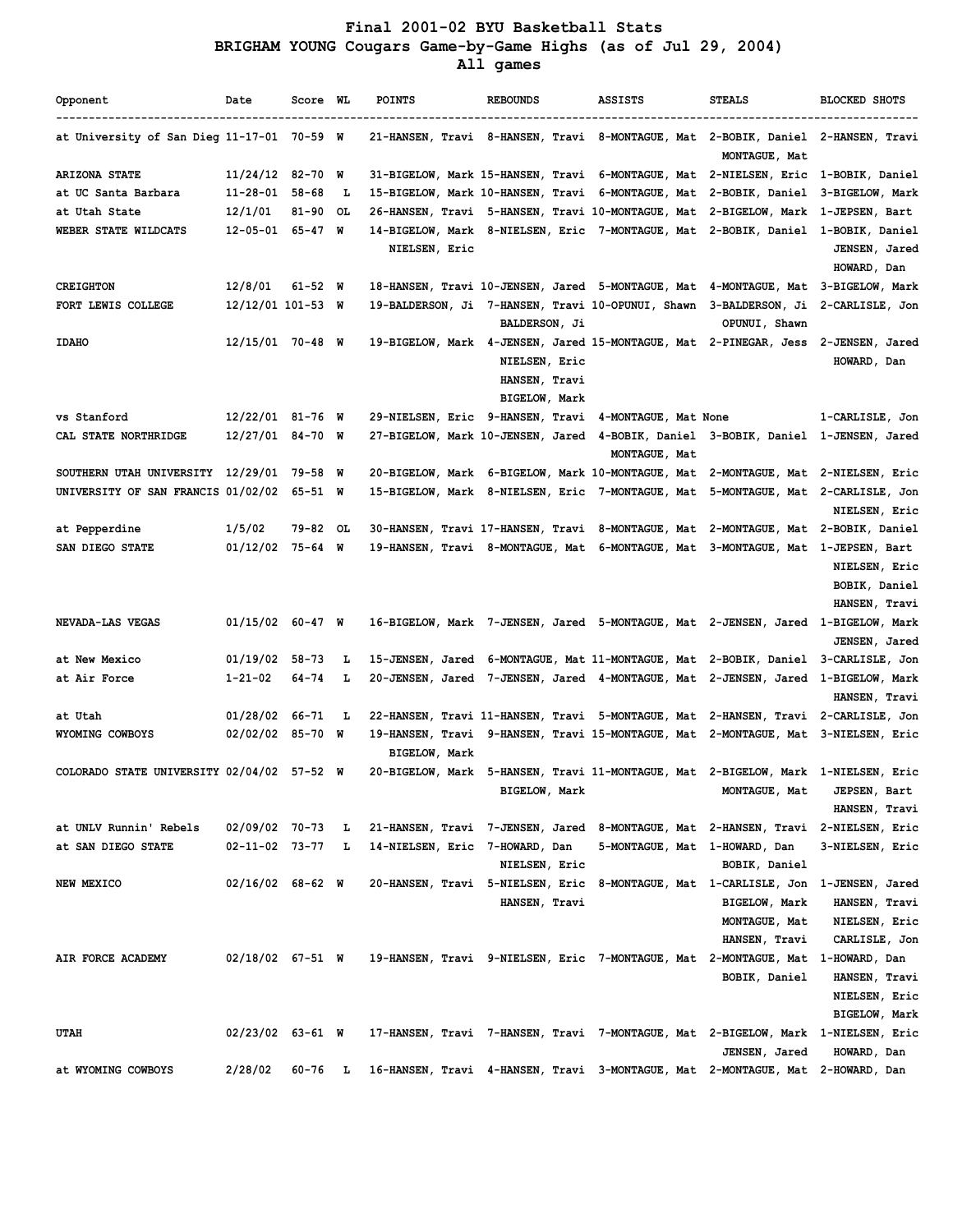## **Final 2001-02 BYU Basketball Stats BRIGHAM YOUNG Cougars Game-by-Game Highs (as of Jul 29, 2004)**

 **All games**

| Opponent                                   | Date                   | Score WL     |     | <b>POINTS</b>                                                                  | <b>REBOUNDS</b>                                        | <b>ASSISTS</b>                | <b>STEALS</b>                                                                                                                              | <b>BLOCKED SHOTS</b>                                   |
|--------------------------------------------|------------------------|--------------|-----|--------------------------------------------------------------------------------|--------------------------------------------------------|-------------------------------|--------------------------------------------------------------------------------------------------------------------------------------------|--------------------------------------------------------|
| at University of San Dieg 11-17-01 70-59 W |                        |              |     |                                                                                |                                                        |                               | 21-HANSEN, Travi 8-HANSEN, Travi 8-MONTAGUE, Mat 2-BOBIK, Daniel 2-HANSEN, Travi<br>MONTAGUE, Mat                                          |                                                        |
| <b>ARIZONA STATE</b>                       | $11/24/12$ 82-70 W     |              |     |                                                                                |                                                        |                               | 31-BIGELOW, Mark 15-HANSEN, Travi 6-MONTAGUE, Mat 2-NIELSEN, Eric 1-BOBIK, Daniel                                                          |                                                        |
| at UC Santa Barbara                        | $11 - 28 - 01$ 58-68   |              | L   |                                                                                |                                                        |                               | 15-BIGELOW, Mark 10-HANSEN, Travi 6-MONTAGUE, Mat 2-BOBIK, Daniel 3-BIGELOW, Mark                                                          |                                                        |
| at Utah State                              | 12/1/01                | $81 - 90$ OL |     |                                                                                |                                                        |                               | 26-HANSEN, Travi 5-HANSEN, Travi 10-MONTAGUE, Mat 2-BIGELOW, Mark 1-JEPSEN, Bart                                                           |                                                        |
| WEBER STATE WILDCATS                       | $12 - 05 - 01$ 65-47 W |              |     |                                                                                |                                                        |                               | 14-BIGELOW, Mark 8-NIELSEN, Eric 7-MONTAGUE, Mat 2-BOBIK, Daniel 1-BOBIK, Daniel                                                           |                                                        |
|                                            |                        |              |     | NIELSEN, Eric                                                                  |                                                        |                               |                                                                                                                                            | JENSEN, Jared<br>HOWARD, Dan                           |
| <b>CREIGHTON</b>                           | 12/8/01                | $61 - 52$ W  |     |                                                                                |                                                        |                               | 18-HANSEN, Travi 10-JENSEN, Jared 5-MONTAGUE, Mat 4-MONTAGUE, Mat 3-BIGELOW, Mark                                                          |                                                        |
| FORT LEWIS COLLEGE                         | 12/12/01 101-53 W      |              |     |                                                                                | <b>BALDERSON, Ji</b>                                   |                               | 19-BALDERSON, Ji 7-HANSEN, Travi 10-OPUNUI, Shawn 3-BALDERSON, Ji 2-CARLISLE, Jon<br>OPUNUI, Shawn                                         |                                                        |
| <b>IDAHO</b>                               | $12/15/01$ 70-48 W     |              |     |                                                                                | NIELSEN, Eric<br>HANSEN, Travi<br><b>BIGELOW, Mark</b> |                               | 19-BIGELOW, Mark 4-JENSEN, Jared 15-MONTAGUE, Mat 2-PINEGAR, Jess 2-JENSEN, Jared                                                          | HOWARD, Dan                                            |
| vs Stanford                                | 12/22/01 81-76 W       |              |     | 29-NIELSEN, Eric 9-HANSEN, Travi 4-MONTAGUE, Mat None                          |                                                        |                               |                                                                                                                                            | 1-CARLISLE, Jon                                        |
| CAL STATE NORTHRIDGE                       | $12/27/01$ 84-70 W     |              |     |                                                                                |                                                        | MONTAGUE, Mat                 | 27-BIGELOW, Mark 10-JENSEN, Jared 4-BOBIK, Daniel 3-BOBIK, Daniel 1-JENSEN, Jared                                                          |                                                        |
| SOUTHERN UTAH UNIVERSITY 12/29/01 79-58 W  |                        |              |     |                                                                                |                                                        |                               | 20-BIGELOW, Mark 6-BIGELOW, Mark 10-MONTAGUE, Mat 2-MONTAGUE, Mat 2-NIELSEN, Eric                                                          |                                                        |
| UNIVERSITY OF SAN FRANCIS 01/02/02 65-51 W |                        |              |     |                                                                                |                                                        |                               | 15-BIGELOW, Mark 8-NIELSEN, Eric 7-MONTAGUE, Mat 5-MONTAGUE, Mat 2-CARLISLE, Jon                                                           | NIELSEN, Eric                                          |
| at Pepperdine                              | 1/5/02                 | 79-82 OL     |     |                                                                                |                                                        |                               | 30-HANSEN, Travi 17-HANSEN, Travi 8-MONTAGUE, Mat 2-MONTAGUE, Mat 2-BOBIK, Daniel                                                          |                                                        |
| SAN DIEGO STATE                            | $01/12/02$ 75-64 W     |              |     |                                                                                |                                                        |                               | 19-HANSEN, Travi 8-MONTAGUE, Mat 6-MONTAGUE, Mat 3-MONTAGUE, Mat 1-JEPSEN, Bart                                                            | NIELSEN, Eric<br>BOBIK, Daniel<br>HANSEN, Travi        |
| NEVADA-LAS VEGAS                           | $01/15/02$ 60-47 W     |              |     |                                                                                |                                                        |                               | 16-BIGELOW, Mark 7-JENSEN, Jared 5-MONTAGUE, Mat 2-JENSEN, Jared 1-BIGELOW, Mark                                                           | JENSEN, Jared                                          |
| at New Mexico                              | $01/19/02$ 58-73       |              | ъ   |                                                                                |                                                        |                               | 15-JENSEN, Jared 6-MONTAGUE, Mat 11-MONTAGUE, Mat 2-BOBIK, Daniel 3-CARLISLE, Jon                                                          |                                                        |
| at Air Force                               | $1 - 21 - 02$          | 64-74        | Ъ   |                                                                                |                                                        |                               | 20-JENSEN, Jared 7-JENSEN, Jared 4-MONTAGUE, Mat 2-JENSEN, Jared 1-BIGELOW, Mark                                                           | HANSEN, Travi                                          |
| at Utah                                    | 01/28/02 66-71         |              | - L |                                                                                |                                                        |                               | 22-HANSEN, Travi 11-HANSEN, Travi 5-MONTAGUE, Mat 2-HANSEN, Travi 2-CARLISLE, Jon                                                          |                                                        |
| WYOMING COWBOYS                            | $02/02/02$ 85-70 W     |              |     | <b>BIGELOW, Mark</b>                                                           |                                                        |                               | 19-HANSEN, Travi 9-HANSEN, Travi 15-MONTAGUE, Mat 2-MONTAGUE, Mat 3-NIELSEN, Eric                                                          |                                                        |
| COLORADO STATE UNIVERSITY 02/04/02 57-52 W |                        |              |     |                                                                                | <b>BIGELOW, Mark</b>                                   |                               | 20-BIGELOW, Mark 5-HANSEN, Travi 11-MONTAGUE, Mat 2-BIGELOW, Mark 1-NIELSEN, Eric<br>MONTAGUE, Mat                                         | JEPSEN, Bart<br>HANSEN, Travi                          |
| at UNLV Runnin' Rebels                     | 02/09/02 70-73         |              | L   |                                                                                |                                                        |                               | 21-HANSEN, Travi 7-JENSEN, Jared 8-MONTAGUE, Mat 2-HANSEN, Travi 2-NIELSEN, Eric                                                           |                                                        |
| at SAN DIEGO STATE                         | $02 - 11 - 02$ 73-77 L |              |     | 14-NIELSEN, Eric 7-HOWARD, Dan                                                 | NIELSEN, Eric                                          | 5-MONTAGUE, Mat 1-HOWARD, Dan | BOBIK, Daniel                                                                                                                              | 3-NIELSEN, Eric                                        |
| NEW MEXICO                                 | $02/16/02$ 68-62 W     |              |     |                                                                                | HANSEN, Travi                                          |                               | 20-HANSEN, Travi 5-NIELSEN, Eric 8-MONTAGUE, Mat 1-CARLISLE, Jon 1-JENSEN, Jared<br><b>BIGELOW, Mark</b><br>MONTAGUE, Mat<br>HANSEN, Travi | HANSEN, Travi<br>NIELSEN, Eric<br>CARLISLE, Jon        |
| AIR FORCE ACADEMY                          | $02/18/02$ 67-51 W     |              |     | 19-HANSEN, Travi 9-NIELSEN, Eric 7-MONTAGUE, Mat 2-MONTAGUE, Mat 1-HOWARD, Dan |                                                        |                               | BOBIK, Daniel                                                                                                                              | HANSEN, Travi<br>NIELSEN, Eric<br><b>BIGELOW, Mark</b> |
| <b>UTAH</b>                                | $02/23/02$ 63-61 W     |              |     |                                                                                |                                                        |                               | 17-HANSEN, Travi 7-HANSEN, Travi 7-MONTAGUE, Mat 2-BIGELOW, Mark 1-NIELSEN, Eric<br>JENSEN, Jared                                          | HOWARD, Dan                                            |
| at WYOMING COWBOYS                         | 2/28/02                | 60-76 L      |     |                                                                                |                                                        |                               | 16-HANSEN, Travi 4-HANSEN, Travi 3-MONTAGUE, Mat 2-MONTAGUE, Mat 2-HOWARD, Dan                                                             |                                                        |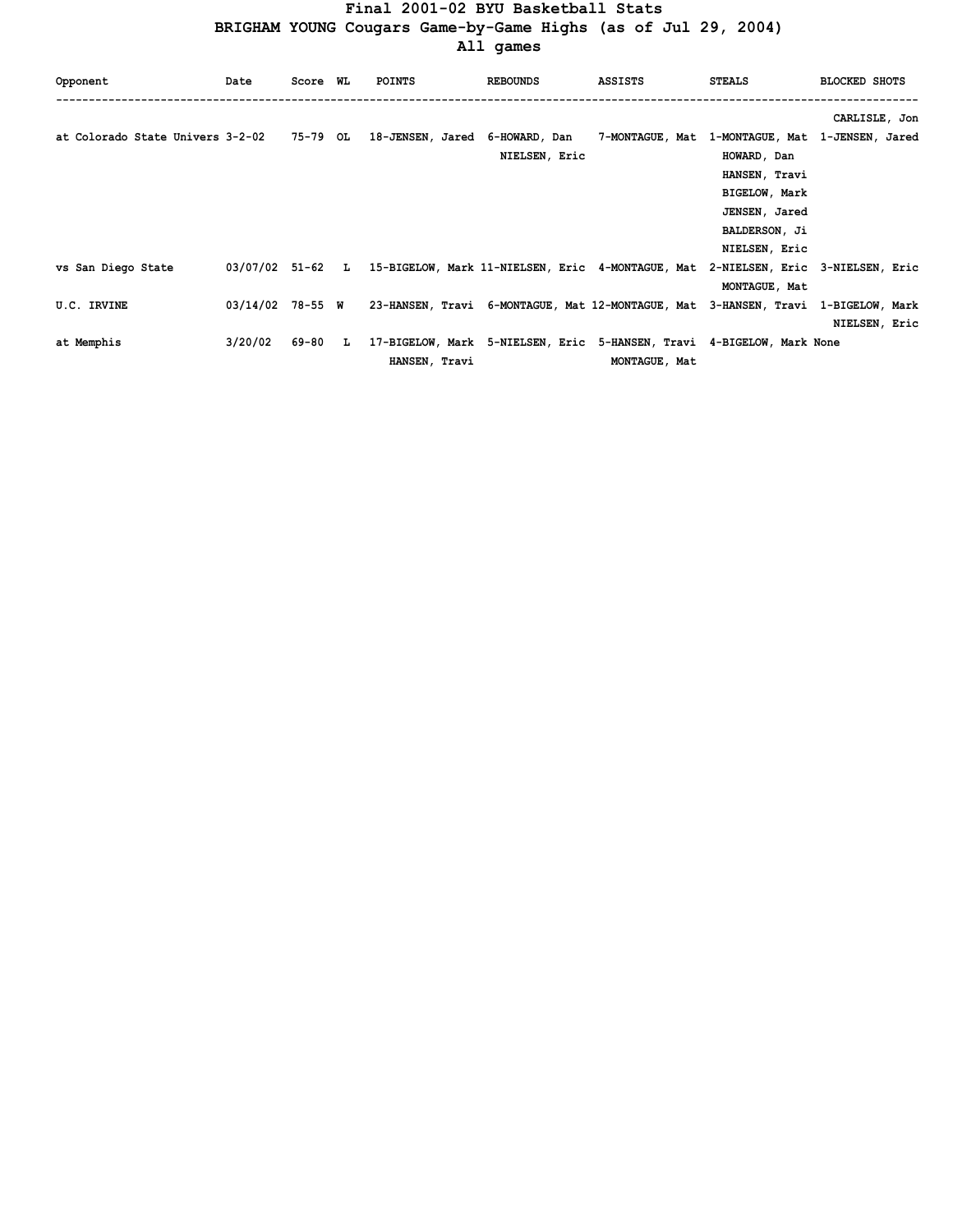# **Final 2001-02 BYU Basketball Stats**

 **BRIGHAM YOUNG Cougars Game-by-Game Highs (as of Jul 29, 2004)**

 **All games**

| Opponent                         | Date    | Score WL |    | <b>POINTS</b> | <b>REBOUNDS</b> | ASSISTS                                                                                            | <b>STEALS</b>        | <b>BLOCKED SHOTS</b> |
|----------------------------------|---------|----------|----|---------------|-----------------|----------------------------------------------------------------------------------------------------|----------------------|----------------------|
|                                  |         |          |    |               |                 |                                                                                                    |                      | CARLISLE, Jon        |
| at Colorado State Univers 3-2-02 |         | 75-79 OL |    |               |                 | 18-JENSEN, Jared 6-HOWARD, Dan 7-MONTAGUE, Mat 1-MONTAGUE, Mat 1-JENSEN, Jared                     |                      |                      |
|                                  |         |          |    |               | NIELSEN, Eric   |                                                                                                    | HOWARD, Dan          |                      |
|                                  |         |          |    |               |                 |                                                                                                    | HANSEN, Travi        |                      |
|                                  |         |          |    |               |                 |                                                                                                    | <b>BIGELOW, Mark</b> |                      |
|                                  |         |          |    |               |                 |                                                                                                    | JENSEN, Jared        |                      |
|                                  |         |          |    |               |                 |                                                                                                    | <b>BALDERSON, Ji</b> |                      |
|                                  |         |          |    |               |                 |                                                                                                    | NIELSEN, Eric        |                      |
| vs San Diego State               |         |          |    |               |                 | 03/07/02 51-62 L 15-BIGELOW, Mark 11-NIELSEN, Eric 4-MONTAGUE, Mat 2-NIELSEN, Eric 3-NIELSEN, Eric |                      |                      |
|                                  |         |          |    |               |                 |                                                                                                    | MONTAGUE, Mat        |                      |
| U.C. IRVINE                      |         |          |    |               |                 | 03/14/02 78-55 W 23-HANSEN, Travi 6-MONTAGUE, Mat 12-MONTAGUE, Mat 3-HANSEN, Travi 1-BIGELOW, Mark |                      |                      |
|                                  |         |          |    |               |                 |                                                                                                    |                      | NIELSEN, Eric        |
| at Memphis                       | 3/20/02 | 69-80    | L. |               |                 | 17-BIGELOW, Mark 5-NIELSEN, Eric 5-HANSEN, Travi 4-BIGELOW, Mark None                              |                      |                      |
|                                  |         |          |    | HANSEN, Travi |                 | MONTAGUE, Mat                                                                                      |                      |                      |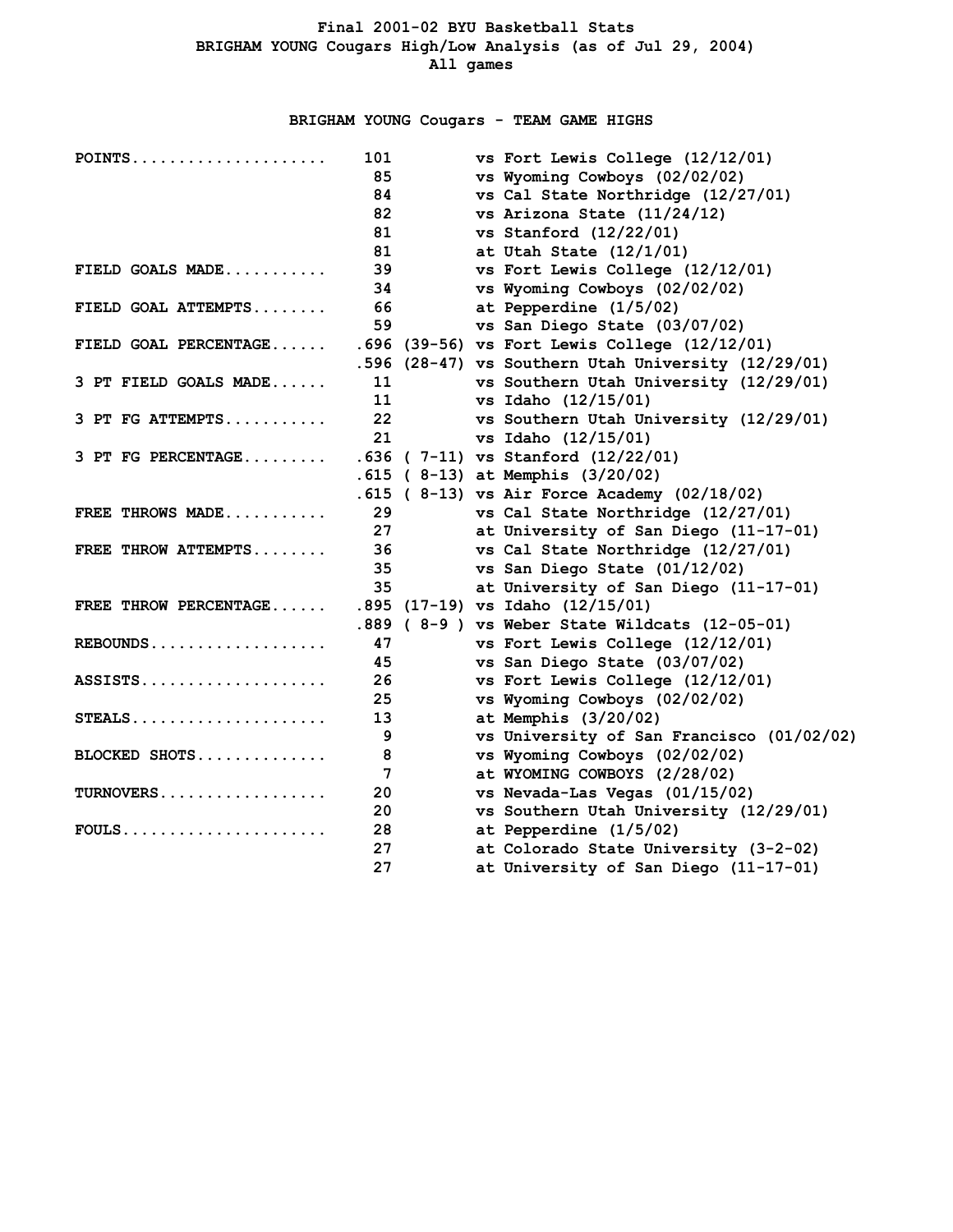## **BRIGHAM YOUNG Cougars - TEAM GAME HIGHS**

| $POINTS$              | 101 | vs Fort Lewis College (12/12/01)                    |
|-----------------------|-----|-----------------------------------------------------|
|                       | 85  | vs Wyoming Cowboys (02/02/02)                       |
|                       | 84  | vs Cal State Northridge (12/27/01)                  |
|                       | 82  | vs Arizona State $(11/24/12)$                       |
|                       | 81  | vs Stanford $(12/22/01)$                            |
|                       | 81  | at Utah State $(12/1/01)$                           |
| FIELD GOALS MADE      | 39  | vs Fort Lewis College (12/12/01)                    |
|                       | 34  | vs Wyoming Cowboys (02/02/02)                       |
| FIELD GOAL ATTEMPTS   | 66  | at Pepperdine (1/5/02)                              |
|                       | 59  | vs San Diego State (03/07/02)                       |
| FIELD GOAL PERCENTAGE |     | .696 (39-56) vs Fort Lewis College (12/12/01)       |
|                       |     | .596 (28-47) vs Southern Utah University (12/29/01) |
| 3 PT FIELD GOALS MADE | 11  | vs Southern Utah University (12/29/01)              |
|                       | 11  | vs Idaho (12/15/01)                                 |
| 3 PT FG ATTEMPTS      | 22  | vs Southern Utah University (12/29/01)              |
|                       | 21  | vs Idaho (12/15/01)                                 |
| $3$ PT FG PERCENTAGE  |     | $.636$ ( 7-11) vs Stanford (12/22/01)               |
|                       |     | $.615$ (8-13) at Memphis (3/20/02)                  |
|                       |     | $.615$ (8-13) vs Air Force Academy (02/18/02)       |
| FREE THROWS MADE      | 29  | vs Cal State Northridge (12/27/01)                  |
|                       | 27  | at University of San Diego (11-17-01)               |
| FREE THROW ATTEMPTS   | 36  | vs Cal State Northridge (12/27/01)                  |
|                       | 35  | vs San Diego State (01/12/02)                       |
|                       | 35  | at University of San Diego (11-17-01)               |
| FREE THROW PERCENTAGE |     | .895 (17-19) vs Idaho (12/15/01)                    |
|                       |     | .889 (8-9) vs Weber State Wildcats (12-05-01)       |
| $REBOUNDS$            | 47  | vs Fort Lewis College (12/12/01)                    |
|                       | 45  | vs San Diego State (03/07/02)                       |
| $ASSISTS.$            | 26  | vs Fort Lewis College (12/12/01)                    |
|                       | 25  | vs Wyoming Cowboys (02/02/02)                       |
| $STEALS$              | 13  | at Memphis $(3/20/02)$                              |
|                       | 9   | vs University of San Francisco (01/02/02)           |
| BLOCKED SHOTS         | 8   | vs Wyoming Cowboys (02/02/02)                       |
|                       | 7   | at WYOMING COWBOYS (2/28/02)                        |
| $TURNOVERS$           | 20  | vs Nevada-Las Vegas (01/15/02)                      |
|                       | 20  | vs Southern Utah University (12/29/01)              |
| $FOULS$               | 28  | at Pepperdine (1/5/02)                              |
|                       | 27  | at Colorado State University (3-2-02)               |
|                       | 27  | at University of San Diego (11-17-01)               |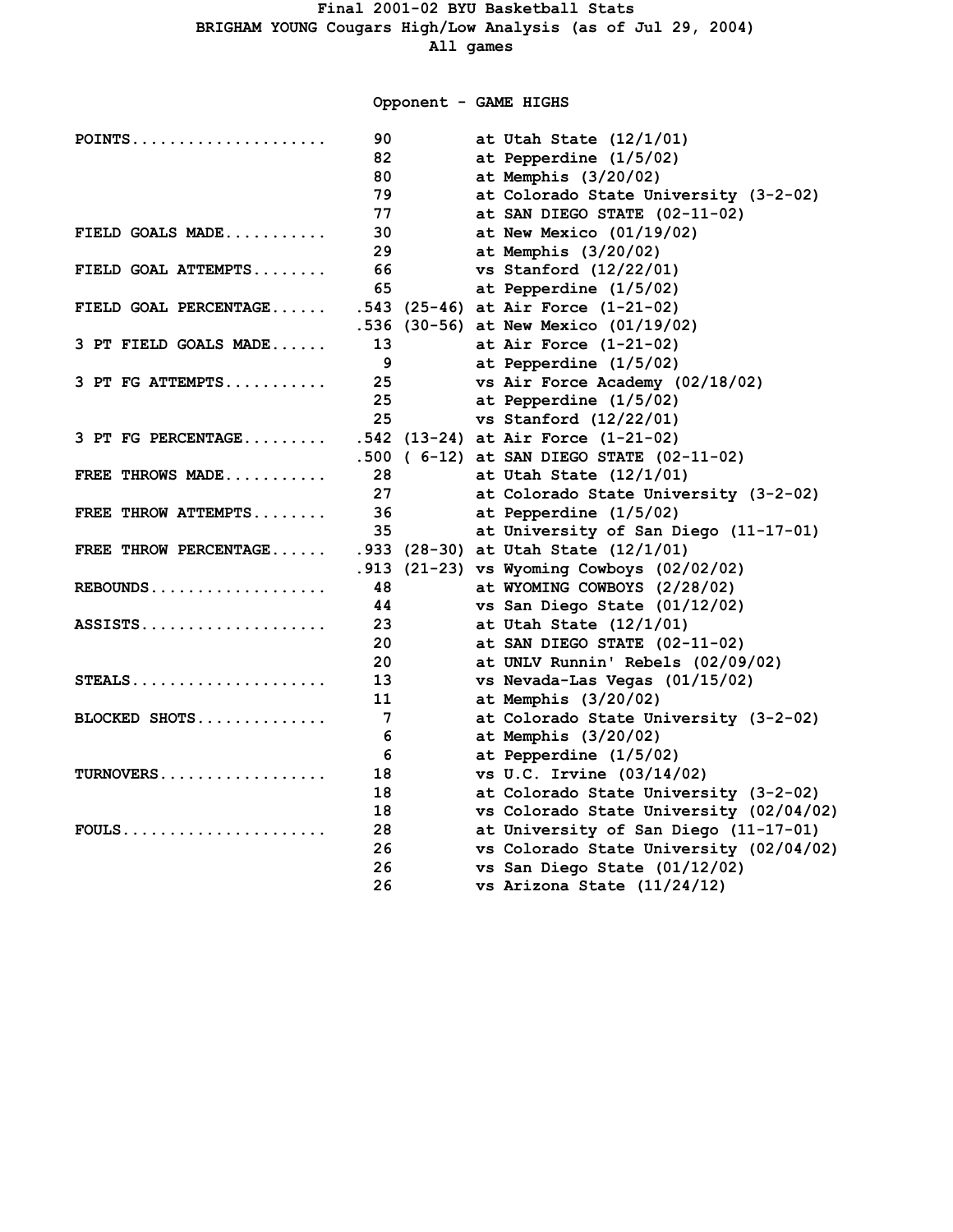**Opponent - GAME HIGHS**

| $POINTS$              | 90 | at Utah State (12/1/01)                    |
|-----------------------|----|--------------------------------------------|
|                       | 82 | at Pepperdine (1/5/02)                     |
|                       | 80 | at Memphis $(3/20/02)$                     |
|                       | 79 | at Colorado State University (3-2-02)      |
|                       | 77 | at SAN DIEGO STATE (02-11-02)              |
| FIELD GOALS MADE      | 30 | at New Mexico $(01/19/02)$                 |
|                       | 29 | at Memphis $(3/20/02)$                     |
| FIELD GOAL ATTEMPTS   | 66 | vs Stanford (12/22/01)                     |
|                       | 65 | at Pepperdine (1/5/02)                     |
| FIELD GOAL PERCENTAGE |    | $.543$ (25-46) at Air Force (1-21-02)      |
|                       |    | .536 (30-56) at New Mexico (01/19/02)      |
| 3 PT FIELD GOALS MADE | 13 | at Air Force $(1-21-02)$                   |
|                       | 9  | at Pepperdine (1/5/02)                     |
| 3 PT FG ATTEMPTS      | 25 | vs Air Force Academy (02/18/02)            |
|                       | 25 | at Pepperdine (1/5/02)                     |
|                       | 25 | vs Stanford $(12/22/01)$                   |
| 3 PT FG PERCENTAGE    |    | .542 (13-24) at Air Force (1-21-02)        |
|                       |    | .500 ( 6-12) at SAN DIEGO STATE (02-11-02) |
| FREE THROWS MADE      | 28 | at Utah State $(12/1/01)$                  |
|                       | 27 | at Colorado State University (3-2-02)      |
| FREE THROW ATTEMPTS   | 36 | at Pepperdine (1/5/02)                     |
|                       | 35 | at University of San Diego (11-17-01)      |
| FREE THROW PERCENTAGE |    | .933 (28-30) at Utah State (12/1/01)       |
|                       |    | .913 (21-23) vs Wyoming Cowboys (02/02/02) |
|                       | 48 | at WYOMING COWBOYS (2/28/02)               |
|                       | 44 | vs San Diego State (01/12/02)              |
| $ASSISTS.$            | 23 | at Utah State $(12/1/01)$                  |
|                       | 20 | at SAN DIEGO STATE (02-11-02)              |
|                       | 20 | at UNLV Runnin' Rebels (02/09/02)          |
| STEALS                | 13 | vs Nevada-Las Vegas (01/15/02)             |
|                       | 11 | at Memphis $(3/20/02)$                     |
| BLOCKED SHOTS         | 7  | at Colorado State University (3-2-02)      |
|                       | 6  | at Memphis $(3/20/02)$                     |
|                       | 6  | at Pepperdine (1/5/02)                     |
| TURNOVERS             | 18 | vs U.C. Irvine (03/14/02)                  |
|                       | 18 | at Colorado State University (3-2-02)      |
|                       | 18 | vs Colorado State University (02/04/02)    |
| $FOULS$               | 28 | at University of San Diego (11-17-01)      |
|                       | 26 | vs Colorado State University (02/04/02)    |
|                       | 26 | vs San Diego State (01/12/02)              |
|                       | 26 | vs Arizona State (11/24/12)                |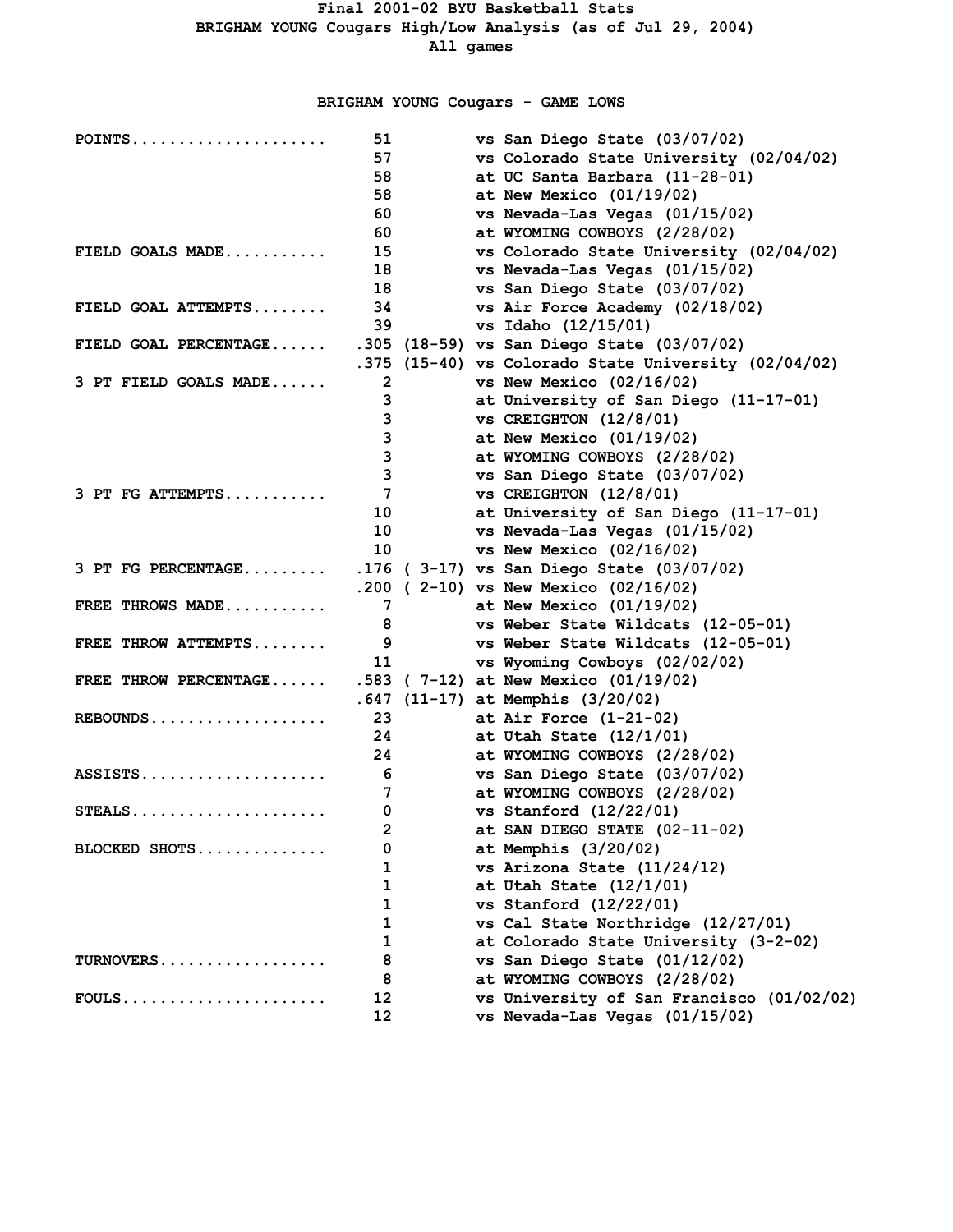## **BRIGHAM YOUNG Cougars - GAME LOWS**

| $POINTS$              | 51             | vs San Diego State (03/07/02)                        |
|-----------------------|----------------|------------------------------------------------------|
|                       | 57             | vs Colorado State University (02/04/02)              |
|                       | 58             | at UC Santa Barbara (11-28-01)                       |
|                       | 58             | at New Mexico $(01/19/02)$                           |
|                       | 60             | vs Nevada-Las Vegas (01/15/02)                       |
|                       | 60             | at WYOMING COWBOYS (2/28/02)                         |
| FIELD GOALS MADE      | 15             | vs Colorado State University (02/04/02)              |
|                       | 18             | vs Nevada-Las Vegas (01/15/02)                       |
|                       | 18             | vs San Diego State (03/07/02)                        |
| FIELD GOAL ATTEMPTS   | 34             | vs Air Force Academy (02/18/02)                      |
|                       | 39             | vs Idaho (12/15/01)                                  |
| FIELD GOAL PERCENTAGE |                | .305 (18-59) vs San Diego State (03/07/02)           |
|                       |                | .375 (15-40) vs Colorado State University (02/04/02) |
|                       |                |                                                      |
| 3 PT FIELD GOALS MADE | $\overline{2}$ | vs New Mexico $(02/16/02)$                           |
|                       | 3              | at University of San Diego (11-17-01)                |
|                       | 3              | vs CREIGHTON $(12/8/01)$                             |
|                       | 3              | at New Mexico $(01/19/02)$                           |
|                       | 3              | at WYOMING COWBOYS (2/28/02)                         |
|                       | 3              | vs San Diego State (03/07/02)                        |
| 3 PT FG ATTEMPTS      | 7              | $vs$ CREIGHTON $(12/8/01)$                           |
|                       | 10             | at University of San Diego (11-17-01)                |
|                       | 10             | vs Nevada-Las Vegas (01/15/02)                       |
|                       | 10             | vs New Mexico $(02/16/02)$                           |
| 3 PT FG PERCENTAGE    |                | .176 (3-17) vs San Diego State (03/07/02)            |
|                       |                | .200 ( $2-10$ ) vs New Mexico (02/16/02)             |
| FREE THROWS MADE      | 7              | at New Mexico $(01/19/02)$                           |
|                       | 8              | vs Weber State Wildcats (12-05-01)                   |
| FREE THROW ATTEMPTS   | 9              | vs Weber State Wildcats (12-05-01)                   |
|                       | 11             | vs Wyoming Cowboys (02/02/02)                        |
| FREE THROW PERCENTAGE |                | .583 ( 7-12) at New Mexico (01/19/02)                |
|                       |                | $.647$ (11-17) at Memphis (3/20/02)                  |
| $REBOUNDS$            | 23             | at Air Force $(1-21-02)$                             |
|                       | 24             | at Utah State $(12/1/01)$                            |
|                       | 24             | at WYOMING COWBOYS (2/28/02)                         |
| ASSISTS               | 6              | vs San Diego State (03/07/02)                        |
|                       | 7              | at WYOMING COWBOYS (2/28/02)                         |
| STEALS                | 0              | vs Stanford (12/22/01)                               |
|                       | 2              | at SAN DIEGO STATE (02-11-02)                        |
| BLOCKED SHOTS         | 0              | at Memphis (3/20/02)                                 |
|                       | 1              | vs Arizona State (11/24/12)                          |
|                       | 1              | at Utah State $(12/1/01)$                            |
|                       | 1              | vs Stanford (12/22/01)                               |
|                       | 1              | vs Cal State Northridge (12/27/01)                   |
|                       |                |                                                      |
|                       | 1              | at Colorado State University (3-2-02)                |
| TURNOVERS             | 8              | vs San Diego State (01/12/02)                        |
|                       | 8              | at WYOMING COWBOYS (2/28/02)                         |
| $FOULS$               | 12             | vs University of San Francisco (01/02/02)            |
|                       | 12             | vs Nevada-Las Vegas (01/15/02)                       |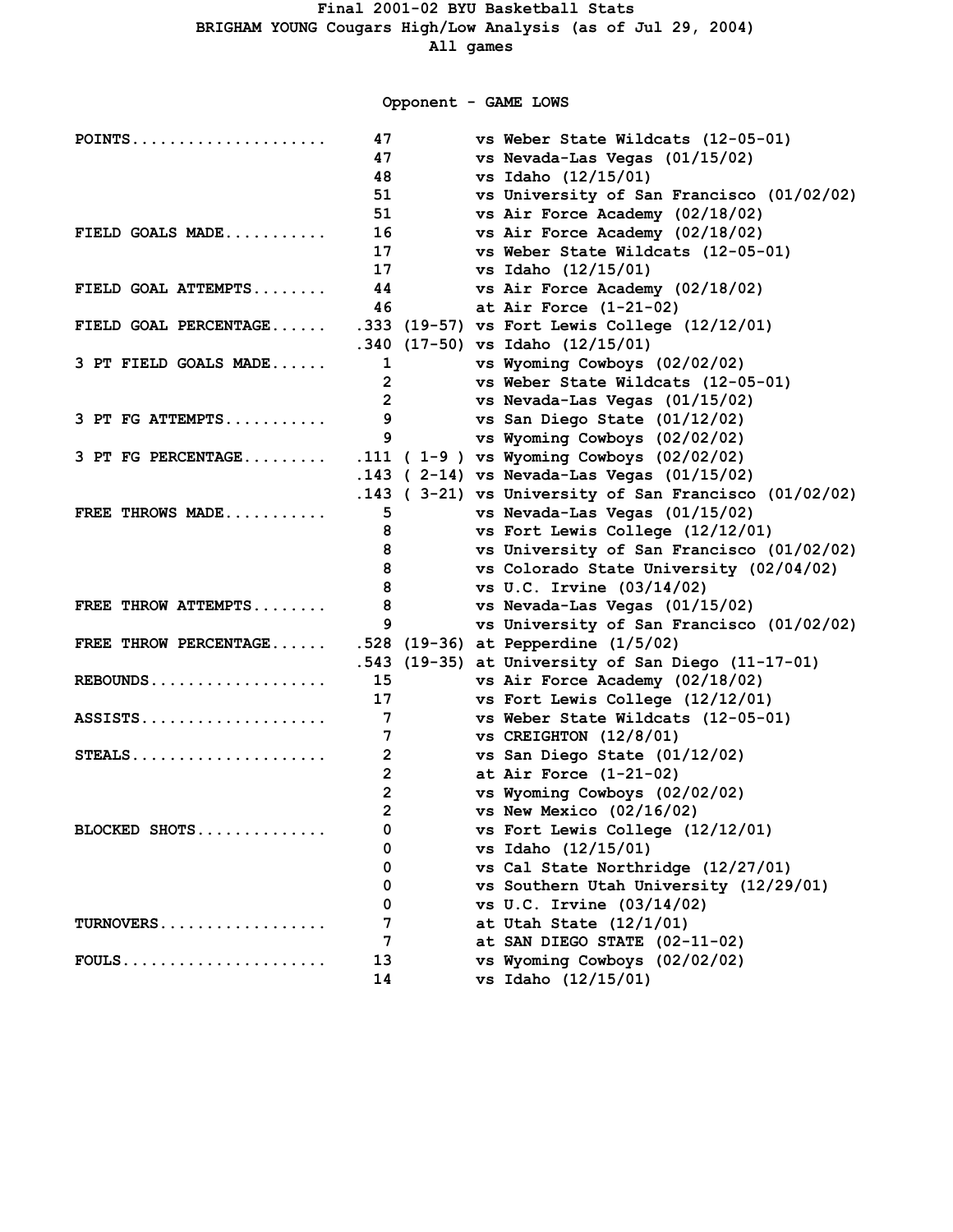**Opponent - GAME LOWS**

| $POINTS$              | 47             | vs Weber State Wildcats (12-05-01)                      |
|-----------------------|----------------|---------------------------------------------------------|
|                       | 47             | vs Nevada-Las Vegas (01/15/02)                          |
|                       | 48             | vs Idaho (12/15/01)                                     |
|                       | 51             | vs University of San Francisco (01/02/02)               |
|                       | 51             | vs Air Force Academy (02/18/02)                         |
| FIELD GOALS MADE      | 16             | vs Air Force Academy (02/18/02)                         |
|                       | 17             | vs Weber State Wildcats (12-05-01)                      |
|                       | 17             | vs Idaho (12/15/01)                                     |
| FIELD GOAL ATTEMPTS   | 44             | vs Air Force Academy (02/18/02)                         |
|                       | 46             | at Air Force $(1-21-02)$                                |
| FIELD GOAL PERCENTAGE |                | .333 (19-57) vs Fort Lewis College (12/12/01)           |
|                       |                | .340 (17-50) vs Idaho (12/15/01)                        |
| 3 PT FIELD GOALS MADE | 1              | vs Wyoming Cowboys (02/02/02)                           |
|                       | 2              | vs Weber State Wildcats (12-05-01)                      |
|                       | $\overline{2}$ | vs Nevada-Las Vegas (01/15/02)                          |
| 3 PT FG ATTEMPTS      | 9              | vs San Diego State (01/12/02)                           |
|                       | 9              | vs Wyoming Cowboys (02/02/02)                           |
| 3 PT FG PERCENTAGE    |                | .111 ( $1-9$ ) vs Wyoming Cowboys (02/02/02)            |
|                       |                | .143 ( 2-14) vs Nevada-Las Vegas (01/15/02)             |
|                       |                | $.143$ (3-21) vs University of San Francisco (01/02/02) |
| FREE THROWS MADE      | 5              | vs Nevada-Las Vegas (01/15/02)                          |
|                       | 8              | vs Fort Lewis College (12/12/01)                        |
|                       | 8              | vs University of San Francisco (01/02/02)               |
|                       | 8              | vs Colorado State University (02/04/02)                 |
|                       | 8              | vs U.C. Irvine (03/14/02)                               |
| FREE THROW ATTEMPTS   | 8              | vs Nevada-Las Vegas (01/15/02)                          |
|                       | 9              | vs University of San Francisco (01/02/02)               |
| FREE THROW PERCENTAGE |                | .528 (19-36) at Pepperdine (1/5/02)                     |
|                       |                | .543 (19-35) at University of San Diego (11-17-01)      |
| $REBOUNDS$            | 15             | vs Air Force Academy (02/18/02)                         |
|                       | 17             | vs Fort Lewis College (12/12/01)                        |
| ASSISTS               | 7              | vs Weber State Wildcats (12-05-01)                      |
|                       | 7              | $vs$ CREIGHTON $(12/8/01)$                              |
| $STEALS$              | $\overline{2}$ | vs San Diego State (01/12/02)                           |
|                       | $\mathbf{2}$   | at Air Force $(1-21-02)$                                |
|                       | $\mathbf{2}$   | vs Wyoming Cowboys (02/02/02)                           |
|                       | $\mathbf{2}$   | vs New Mexico $(02/16/02)$                              |
| BLOCKED SHOTS         | 0              | vs Fort Lewis College (12/12/01)                        |
|                       | 0              | vs Idaho (12/15/01)                                     |
|                       | 0              | vs Cal State Northridge (12/27/01)                      |
|                       | 0              | vs Southern Utah University (12/29/01)                  |
|                       | 0              | vs U.C. Irvine $(03/14/02)$                             |
| TURNOVERS             | 7              | at Utah State $(12/1/01)$                               |
|                       | 7              | at SAN DIEGO STATE (02-11-02)                           |
|                       | 13             | vs Wyoming Cowboys (02/02/02)                           |
|                       | 14             | vs Idaho (12/15/01)                                     |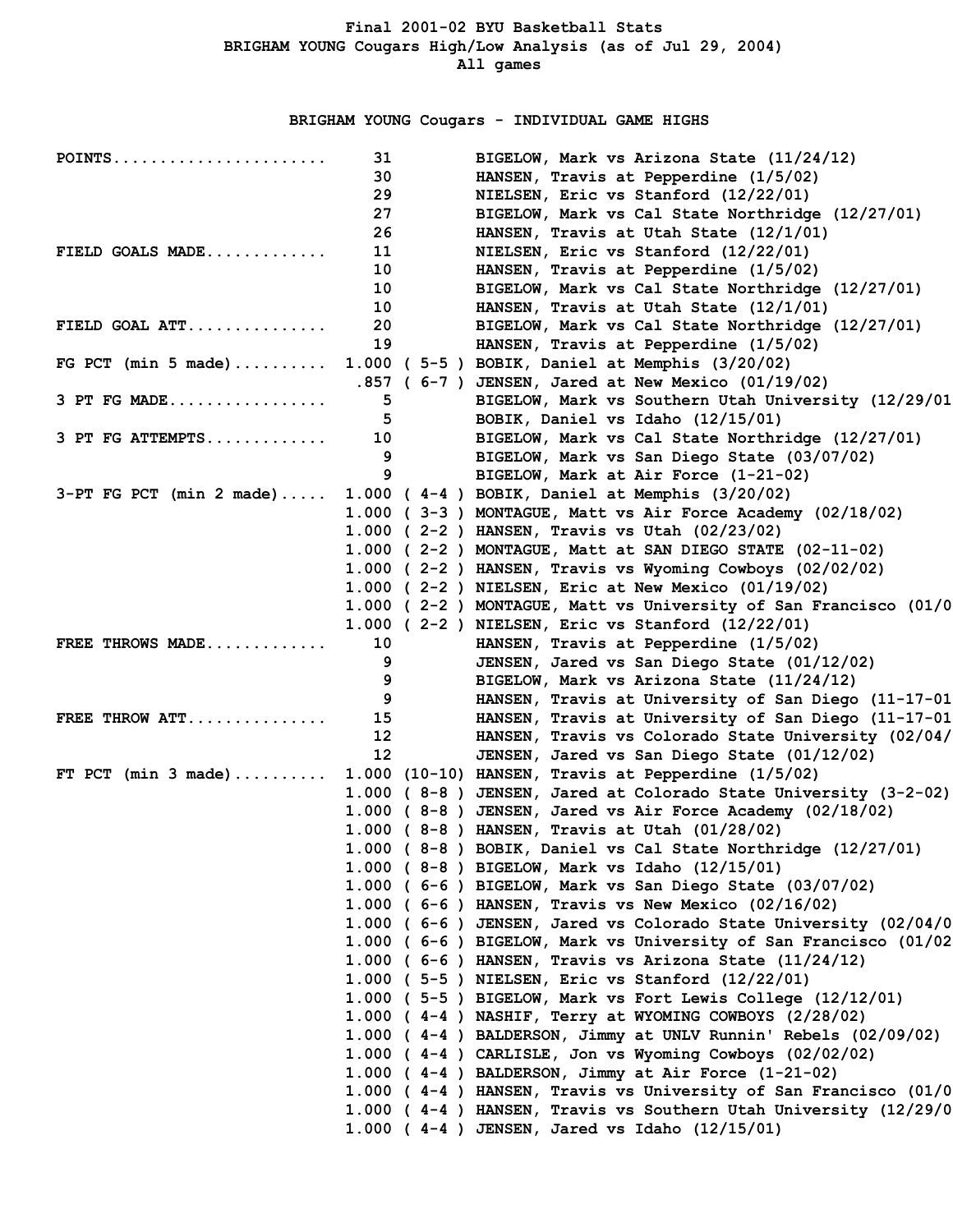**BRIGHAM YOUNG Cougars - INDIVIDUAL GAME HIGHS**

| $POINTS$                   | 31                | BIGELOW, Mark vs Arizona State (11/24/12)                         |
|----------------------------|-------------------|-------------------------------------------------------------------|
|                            | 30                | HANSEN, Travis at Pepperdine (1/5/02)                             |
|                            | 29                | NIELSEN, Eric vs Stanford (12/22/01)                              |
|                            | 27                | BIGELOW, Mark vs Cal State Northridge (12/27/01)                  |
|                            | 26                | HANSEN, Travis at Utah State $(12/1/01)$                          |
| FIELD GOALS MADE           | 11                | NIELSEN, Eric vs Stanford (12/22/01)                              |
|                            | 10                | HANSEN, Travis at Pepperdine (1/5/02)                             |
|                            | 10                | BIGELOW, Mark vs Cal State Northridge (12/27/01)                  |
|                            | 10                | HANSEN, Travis at Utah State (12/1/01)                            |
| FIELD GOAL $ATT$           | 20                | BIGELOW, Mark vs Cal State Northridge (12/27/01)                  |
|                            | 19                | HANSEN, Travis at Pepperdine (1/5/02)                             |
| FG PCT (min 5 made)        |                   | 1.000 ( 5-5 ) BOBIK, Daniel at Memphis (3/20/02)                  |
|                            |                   | .857 ( 6-7 ) JENSEN, Jared at New Mexico (01/19/02)               |
| 3 PT FG MADE               | 5                 | BIGELOW, Mark vs Southern Utah University (12/29/01               |
|                            | 5.                | BOBIK, Daniel vs Idaho (12/15/01)                                 |
| $3$ PT FG ATTEMPTS         | 10                | BIGELOW, Mark vs Cal State Northridge (12/27/01)                  |
|                            | 9                 | BIGELOW, Mark vs San Diego State (03/07/02)                       |
|                            | 9                 | BIGELOW, Mark at Air Force (1-21-02)                              |
| $3-PT$ FG PCT (min 2 made) |                   | 1.000 (4-4) BOBIK, Daniel at Memphis (3/20/02)                    |
|                            |                   | 1.000 (3-3) MONTAGUE, Matt vs Air Force Academy (02/18/02)        |
|                            |                   | 1.000 (2-2) HANSEN, Travis vs Utah (02/23/02)                     |
|                            |                   | 1.000 (2-2) MONTAGUE, Matt at SAN DIEGO STATE (02-11-02)          |
|                            |                   | 1.000 ( $2-2$ ) HANSEN, Travis vs Wyoming Cowboys (02/02/02)      |
|                            |                   | 1.000 (2-2) NIELSEN, Eric at New Mexico (01/19/02)                |
|                            |                   | 1.000 (2-2) MONTAGUE, Matt vs University of San Francisco (01/0   |
|                            |                   | 1.000 ( 2-2 ) NIELSEN, Eric vs Stanford (12/22/01)                |
| FREE THROWS MADE           | 10                | HANSEN, Travis at Pepperdine (1/5/02)                             |
|                            | 9                 | JENSEN, Jared vs San Diego State (01/12/02)                       |
|                            | 9                 | BIGELOW, Mark vs Arizona State (11/24/12)                         |
|                            | 9                 | HANSEN, Travis at University of San Diego (11-17-01               |
| FREE THROW ATT             | 15 <sub>1</sub>   | HANSEN, Travis at University of San Diego (11-17-01               |
|                            | $12 \overline{ }$ | HANSEN, Travis vs Colorado State University (02/04/               |
|                            | $12 \overline{ }$ | JENSEN, Jared vs San Diego State (01/12/02)                       |
| FT PCT (min $3$ made)      |                   | $1.000$ (10-10) HANSEN, Travis at Pepperdine (1/5/02)             |
|                            |                   | 1.000 (8-8) JENSEN, Jared at Colorado State University (3-2-02)   |
|                            |                   | 1.000 (8-8) JENSEN, Jared vs Air Force Academy (02/18/02)         |
|                            |                   | 1.000 (8-8) HANSEN, Travis at Utah (01/28/02)                     |
|                            |                   | 1.000 (8-8) BOBIK, Daniel vs Cal State Northridge (12/27/01)      |
|                            |                   | 1.000 (8-8) BIGELOW, Mark vs Idaho (12/15/01)                     |
|                            |                   | 1.000 (6-6) BIGELOW, Mark vs San Diego State (03/07/02)           |
|                            |                   | 1.000 ( $6-6$ ) HANSEN, Travis vs New Mexico (02/16/02)           |
|                            |                   | 1.000 ( 6-6 ) JENSEN, Jared vs Colorado State University (02/04/0 |
|                            |                   | 1.000 ( 6-6 ) BIGELOW, Mark vs University of San Francisco (01/02 |
|                            |                   |                                                                   |
|                            |                   | 1.000 (6-6) HANSEN, Travis vs Arizona State $(11/24/12)$          |
|                            |                   | 1.000 ( 5-5 ) NIELSEN, Eric vs Stanford (12/22/01)                |
|                            |                   | 1.000 ( 5-5 ) BIGELOW, Mark vs Fort Lewis College (12/12/01)      |
|                            |                   | 1.000 (4-4) NASHIF, Terry at WYOMING COWBOYS (2/28/02)            |
|                            |                   | 1.000 (4-4) BALDERSON, Jimmy at UNLV Runnin' Rebels (02/09/02)    |
|                            |                   | 1.000 (4-4) CARLISLE, Jon vs Wyoming Cowboys (02/02/02)           |
|                            |                   | $1.000$ (4-4) BALDERSON, Jimmy at Air Force (1-21-02)             |
|                            |                   | 1.000 (4-4) HANSEN, Travis vs University of San Francisco (01/0   |
|                            |                   | 1.000 (4-4) HANSEN, Travis vs Southern Utah University (12/29/0   |
|                            |                   | 1.000 (4-4) JENSEN, Jared vs Idaho (12/15/01)                     |